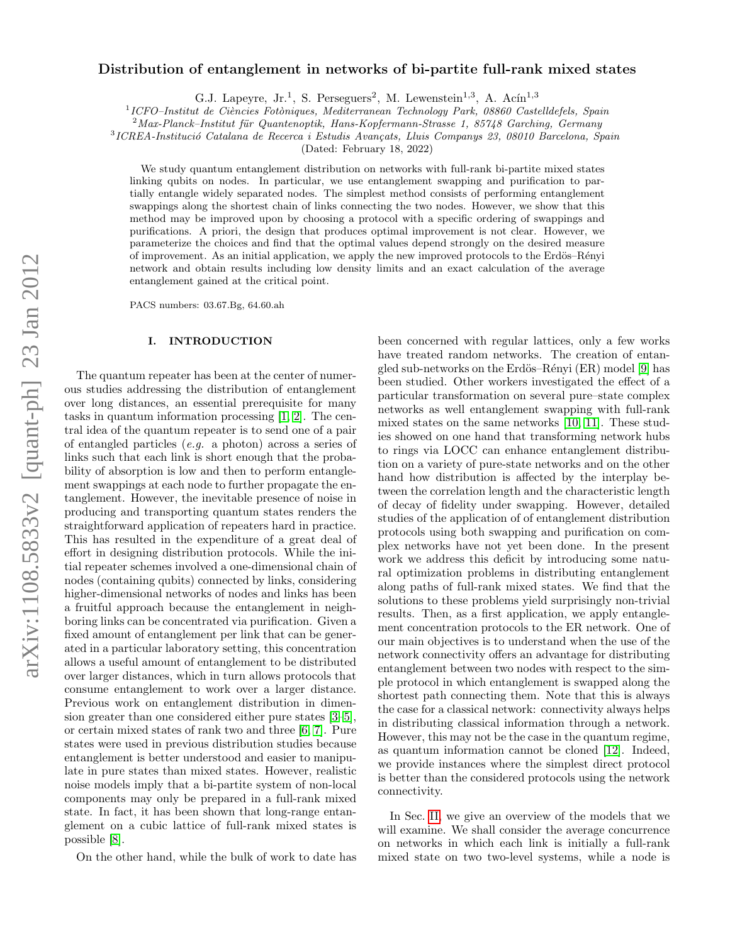# arXiv:1108.5833v2 [quant-ph] 23 Jan 2012 arXiv:1108.5833v2 [quant-ph] 23 Jan 2012

# Distribution of entanglement in networks of bi-partite full-rank mixed states

G.J. Lapeyre, Jr.<sup>1</sup>, S. Perseguers<sup>2</sup>, M. Lewenstein<sup>1,3</sup>, A. Acín<sup>1,3</sup>

<sup>1</sup>ICFO-Institut de Ciències Fotòniques, Mediterranean Technology Park, 08860 Castelldefels, Spain

 $^{2}$ Max-Planck–Institut für Quantenoptik, Hans-Kopfermann-Strasse 1, 85748 Garching, Germany

<sup>3</sup>ICREA-Institució Catalana de Recerca i Estudis Avançats, Lluis Companys 23, 08010 Barcelona, Spain

(Dated: February 18, 2022)

We study quantum entanglement distribution on networks with full-rank bi-partite mixed states linking qubits on nodes. In particular, we use entanglement swapping and purification to partially entangle widely separated nodes. The simplest method consists of performing entanglement swappings along the shortest chain of links connecting the two nodes. However, we show that this method may be improved upon by choosing a protocol with a specific ordering of swappings and purifications. A priori, the design that produces optimal improvement is not clear. However, we parameterize the choices and find that the optimal values depend strongly on the desired measure of improvement. As an initial application, we apply the new improved protocols to the Erdös–Rényi network and obtain results including low density limits and an exact calculation of the average entanglement gained at the critical point.

PACS numbers: 03.67.Bg, 64.60.ah

## I. INTRODUCTION

The quantum repeater has been at the center of numerous studies addressing the distribution of entanglement over long distances, an essential prerequisite for many tasks in quantum information processing [\[1,](#page-16-0) [2\]](#page-16-1). The central idea of the quantum repeater is to send one of a pair of entangled particles (e.g. a photon) across a series of links such that each link is short enough that the probability of absorption is low and then to perform entanglement swappings at each node to further propagate the entanglement. However, the inevitable presence of noise in producing and transporting quantum states renders the straightforward application of repeaters hard in practice. This has resulted in the expenditure of a great deal of effort in designing distribution protocols. While the initial repeater schemes involved a one-dimensional chain of nodes (containing qubits) connected by links, considering higher-dimensional networks of nodes and links has been a fruitful approach because the entanglement in neighboring links can be concentrated via purification. Given a fixed amount of entanglement per link that can be generated in a particular laboratory setting, this concentration allows a useful amount of entanglement to be distributed over larger distances, which in turn allows protocols that consume entanglement to work over a larger distance. Previous work on entanglement distribution in dimension greater than one considered either pure states [\[3–](#page-16-2)[5\]](#page-16-3), or certain mixed states of rank two and three [\[6,](#page-16-4) [7\]](#page-16-5). Pure states were used in previous distribution studies because entanglement is better understood and easier to manipulate in pure states than mixed states. However, realistic noise models imply that a bi-partite system of non-local components may only be prepared in a full-rank mixed state. In fact, it has been shown that long-range entanglement on a cubic lattice of full-rank mixed states is possible [\[8\]](#page-16-6).

On the other hand, while the bulk of work to date has

been concerned with regular lattices, only a few works have treated random networks. The creation of entan-gled sub-networks on the Erdös–Rényi (ER) model [\[9\]](#page-16-7) has been studied. Other workers investigated the effect of a particular transformation on several pure–state complex networks as well entanglement swapping with full-rank mixed states on the same networks [\[10,](#page-16-8) [11\]](#page-16-9). These studies showed on one hand that transforming network hubs to rings via LOCC can enhance entanglement distribution on a variety of pure-state networks and on the other hand how distribution is affected by the interplay between the correlation length and the characteristic length of decay of fidelity under swapping. However, detailed studies of the application of of entanglement distribution protocols using both swapping and purification on complex networks have not yet been done. In the present work we address this deficit by introducing some natural optimization problems in distributing entanglement along paths of full-rank mixed states. We find that the solutions to these problems yield surprisingly non-trivial results. Then, as a first application, we apply entanglement concentration protocols to the ER network. One of our main objectives is to understand when the use of the network connectivity offers an advantage for distributing entanglement between two nodes with respect to the simple protocol in which entanglement is swapped along the shortest path connecting them. Note that this is always the case for a classical network: connectivity always helps in distributing classical information through a network. However, this may not be the case in the quantum regime, as quantum information cannot be cloned [\[12\]](#page-16-10). Indeed, we provide instances where the simplest direct protocol is better than the considered protocols using the network connectivity.

In Sec. [II,](#page-2-0) we give an overview of the models that we will examine. We shall consider the average concurrence on networks in which each link is initially a full-rank mixed state on two two-level systems, while a node is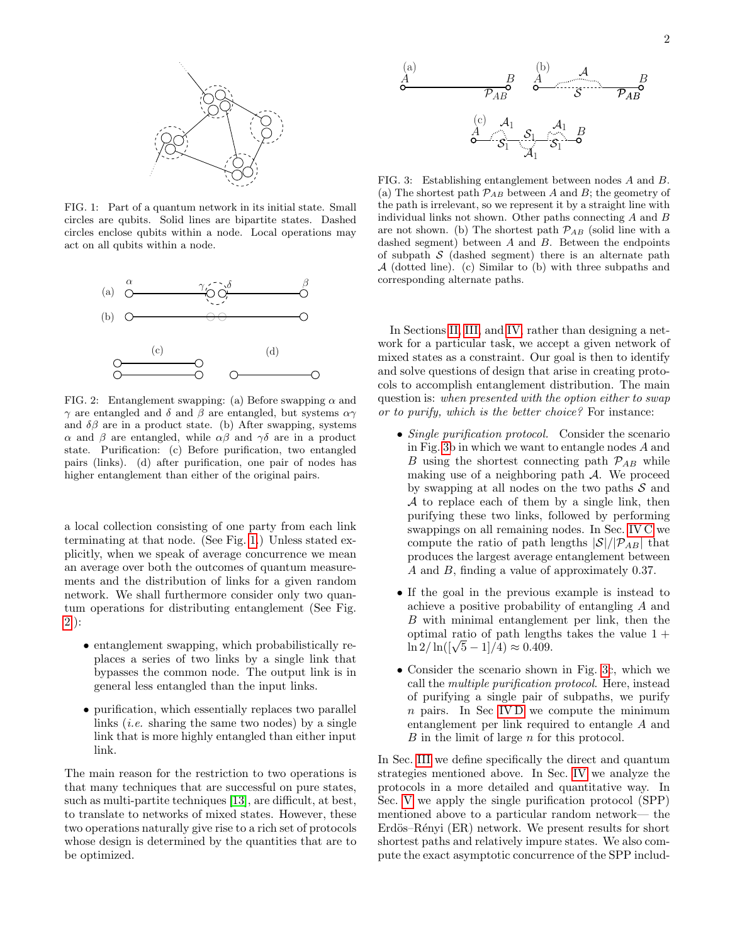

<span id="page-1-0"></span>FIG. 1: Part of a quantum network in its initial state. Small circles are qubits. Solid lines are bipartite states. Dashed circles enclose qubits within a node. Local operations may act on all qubits within a node.



<span id="page-1-1"></span>FIG. 2: Entanglement swapping: (a) Before swapping  $\alpha$  and  $γ$  are entangled and δ and β are entangled, but systems  $αγ$ and  $\delta\beta$  are in a product state. (b) After swapping, systems α and β are entangled, while αβ and γδ are in a product state. Purification: (c) Before purification, two entangled pairs (links). (d) after purification, one pair of nodes has higher entanglement than either of the original pairs.

a local collection consisting of one party from each link terminating at that node. (See Fig. [1.](#page-1-0)) Unless stated explicitly, when we speak of average concurrence we mean an average over both the outcomes of quantum measurements and the distribution of links for a given random network. We shall furthermore consider only two quantum operations for distributing entanglement (See Fig. [2.](#page-1-1)):

- entanglement swapping, which probabilistically replaces a series of two links by a single link that bypasses the common node. The output link is in general less entangled than the input links.
- purification, which essentially replaces two parallel links (*i.e.* sharing the same two nodes) by a single link that is more highly entangled than either input link.

The main reason for the restriction to two operations is that many techniques that are successful on pure states, such as multi-partite techniques [\[13\]](#page-16-11), are difficult, at best, to translate to networks of mixed states. However, these two operations naturally give rise to a rich set of protocols whose design is determined by the quantities that are to be optimized.



<span id="page-1-2"></span>FIG. 3: Establishing entanglement between nodes A and B. (a) The shortest path  $P_{AB}$  between A and B; the geometry of the path is irrelevant, so we represent it by a straight line with individual links not shown. Other paths connecting A and B are not shown. (b) The shortest path  $P_{AB}$  (solid line with a dashed segment) between  $A$  and  $B$ . Between the endpoints of subpath  $\mathcal S$  (dashed segment) there is an alternate path A (dotted line). (c) Similar to (b) with three subpaths and corresponding alternate paths.

In Sections [II,](#page-2-0) [III,](#page-4-0) and [IV,](#page-6-0) rather than designing a network for a particular task, we accept a given network of mixed states as a constraint. Our goal is then to identify and solve questions of design that arise in creating protocols to accomplish entanglement distribution. The main question is: when presented with the option either to swap or to purify, which is the better choice? For instance:

- Single purification protocol. Consider the scenario in Fig. [3b](#page-1-2) in which we want to entangle nodes A and B using the shortest connecting path  $P_{AB}$  while making use of a neighboring path  $A$ . We proceed by swapping at all nodes on the two paths  $S$  and A to replace each of them by a single link, then purifying these two links, followed by performing swappings on all remaining nodes. In Sec. [IV C](#page-6-1) we compute the ratio of path lengths  $|\mathcal{S}|/|\mathcal{P}_{AB}|$  that produces the largest average entanglement between A and B, finding a value of approximately 0.37.
- If the goal in the previous example is instead to achieve a positive probability of entangling A and B with minimal entanglement per link, then the optimal ratio of path lengths takes the value 1 +  $\ln 2 / \ln((\sqrt{5}-1)/4) \approx 0.409.$
- Consider the scenario shown in Fig. [3c](#page-1-2), which we call the multiple purification protocol. Here, instead of purifying a single pair of subpaths, we purify n pairs. In Sec [IV D](#page-8-0) we compute the minimum entanglement per link required to entangle A and B in the limit of large n for this protocol.

In Sec. [III](#page-4-0) we define specifically the direct and quantum strategies mentioned above. In Sec. [IV](#page-6-0) we analyze the protocols in a more detailed and quantitative way. In Sec. [V](#page-9-0) we apply the single purification protocol (SPP) mentioned above to a particular random network— the Erdös–Rényi (ER) network. We present results for short shortest paths and relatively impure states. We also compute the exact asymptotic concurrence of the SPP includ-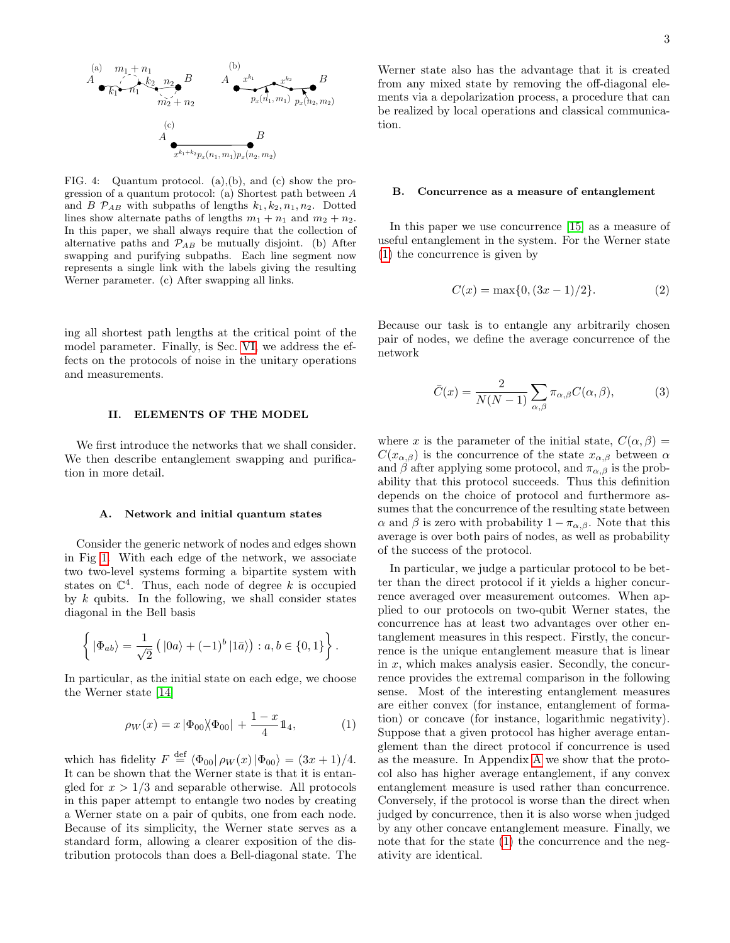

<span id="page-2-3"></span>FIG. 4: Quantum protocol. (a),(b), and (c) show the progression of a quantum protocol: (a) Shortest path between A and B  $\mathcal{P}_{AB}$  with subpaths of lengths  $k_1, k_2, n_1, n_2$ . Dotted lines show alternate paths of lengths  $m_1 + n_1$  and  $m_2 + n_2$ . In this paper, we shall always require that the collection of alternative paths and  $\mathcal{P}_{AB}$  be mutually disjoint. (b) After swapping and purifying subpaths. Each line segment now represents a single link with the labels giving the resulting Werner parameter. (c) After swapping all links.

ing all shortest path lengths at the critical point of the model parameter. Finally, is Sec. [VI,](#page-12-0) we address the effects on the protocols of noise in the unitary operations and measurements.

#### <span id="page-2-0"></span>II. ELEMENTS OF THE MODEL

We first introduce the networks that we shall consider. We then describe entanglement swapping and purification in more detail.

#### A. Network and initial quantum states

Consider the generic network of nodes and edges shown in Fig [1.](#page-1-0) With each edge of the network, we associate two two-level systems forming a bipartite system with states on  $\mathbb{C}^4$ . Thus, each node of degree k is occupied by  $k$  qubits. In the following, we shall consider states diagonal in the Bell basis

$$
\left\{ |\Phi_{ab}\rangle = \frac{1}{\sqrt{2}} \left( |0a\rangle + (-1)^b |1\bar{a}\rangle \right) : a, b \in \{0, 1\} \right\}.
$$

In particular, as the initial state on each edge, we choose the Werner state [\[14\]](#page-16-12)

<span id="page-2-1"></span>
$$
\rho_W(x) = x | \Phi_{00} \rangle \langle \Phi_{00} | + \frac{1-x}{4} \mathbb{1}_4, \tag{1}
$$

which has fidelity  $F \stackrel{\text{def}}{=} \langle \Phi_{00} | \rho_W(x) | \Phi_{00} \rangle = (3x + 1)/4.$ It can be shown that the Werner state is that it is entangled for  $x > 1/3$  and separable otherwise. All protocols in this paper attempt to entangle two nodes by creating a Werner state on a pair of qubits, one from each node. Because of its simplicity, the Werner state serves as a standard form, allowing a clearer exposition of the distribution protocols than does a Bell-diagonal state. The

Werner state also has the advantage that it is created from any mixed state by removing the off-diagonal elements via a depolarization process, a procedure that can be realized by local operations and classical communication.

## B. Concurrence as a measure of entanglement

In this paper we use concurrence [\[15\]](#page-16-13) as a measure of useful entanglement in the system. For the Werner state [\(1\)](#page-2-1) the concurrence is given by

<span id="page-2-2"></span>
$$
C(x) = \max\{0, (3x - 1)/2\}.
$$
 (2)

Because our task is to entangle any arbitrarily chosen pair of nodes, we define the average concurrence of the network

<span id="page-2-4"></span>
$$
\bar{C}(x) = \frac{2}{N(N-1)} \sum_{\alpha,\beta} \pi_{\alpha,\beta} C(\alpha,\beta), \tag{3}
$$

where x is the parameter of the initial state,  $C(\alpha, \beta) =$  $C(x_{\alpha,\beta})$  is the concurrence of the state  $x_{\alpha,\beta}$  between  $\alpha$ and  $\beta$  after applying some protocol, and  $\pi_{\alpha,\beta}$  is the probability that this protocol succeeds. Thus this definition depends on the choice of protocol and furthermore assumes that the concurrence of the resulting state between  $\alpha$  and  $\beta$  is zero with probability  $1 - \pi_{\alpha,\beta}$ . Note that this average is over both pairs of nodes, as well as probability of the success of the protocol.

In particular, we judge a particular protocol to be better than the direct protocol if it yields a higher concurrence averaged over measurement outcomes. When applied to our protocols on two-qubit Werner states, the concurrence has at least two advantages over other entanglement measures in this respect. Firstly, the concurrence is the unique entanglement measure that is linear in  $x$ , which makes analysis easier. Secondly, the concurrence provides the extremal comparison in the following sense. Most of the interesting entanglement measures are either convex (for instance, entanglement of formation) or concave (for instance, logarithmic negativity). Suppose that a given protocol has higher average entanglement than the direct protocol if concurrence is used as the measure. In Appendix [A](#page-14-0) we show that the protocol also has higher average entanglement, if any convex entanglement measure is used rather than concurrence. Conversely, if the protocol is worse than the direct when judged by concurrence, then it is also worse when judged by any other concave entanglement measure. Finally, we note that for the state [\(1\)](#page-2-1) the concurrence and the negativity are identical.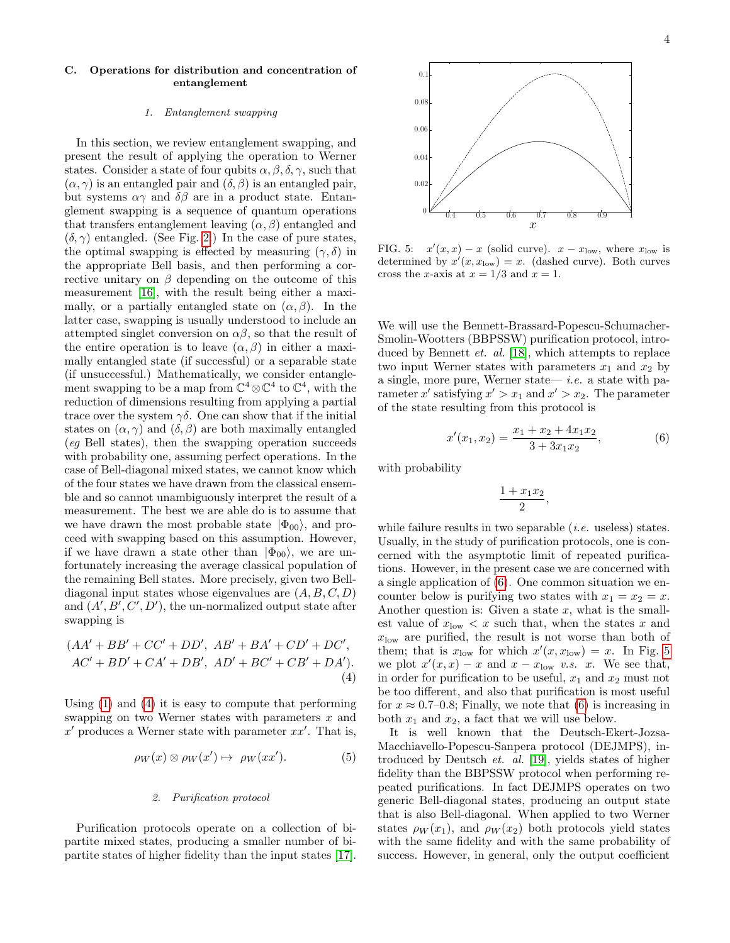# C. Operations for distribution and concentration of entanglement

# 1. Entanglement swapping

In this section, we review entanglement swapping, and present the result of applying the operation to Werner states. Consider a state of four qubits  $\alpha, \beta, \delta, \gamma$ , such that  $(\alpha, \gamma)$  is an entangled pair and  $(\delta, \beta)$  is an entangled pair, but systems  $\alpha\gamma$  and  $\delta\beta$  are in a product state. Entanglement swapping is a sequence of quantum operations that transfers entanglement leaving  $(\alpha, \beta)$  entangled and  $(\delta, \gamma)$  entangled. (See Fig. [2.](#page-1-1)) In the case of pure states, the optimal swapping is effected by measuring  $(\gamma, \delta)$  in the appropriate Bell basis, and then performing a corrective unitary on  $\beta$  depending on the outcome of this measurement [\[16\]](#page-16-14), with the result being either a maximally, or a partially entangled state on  $(\alpha, \beta)$ . In the latter case, swapping is usually understood to include an attempted singlet conversion on  $\alpha\beta$ , so that the result of the entire operation is to leave  $(\alpha, \beta)$  in either a maximally entangled state (if successful) or a separable state (if unsuccessful.) Mathematically, we consider entanglement swapping to be a map from  $\mathbb{C}^4 \otimes \mathbb{C}^4$  to  $\mathbb{C}^4$ , with the reduction of dimensions resulting from applying a partial trace over the system  $\gamma\delta$ . One can show that if the initial states on  $(\alpha, \gamma)$  and  $(\delta, \beta)$  are both maximally entangled (eg Bell states), then the swapping operation succeeds with probability one, assuming perfect operations. In the case of Bell-diagonal mixed states, we cannot know which of the four states we have drawn from the classical ensemble and so cannot unambiguously interpret the result of a measurement. The best we are able do is to assume that we have drawn the most probable state  $|\Phi_{00}\rangle$ , and proceed with swapping based on this assumption. However, if we have drawn a state other than  $|\Phi_{00}\rangle$ , we are unfortunately increasing the average classical population of the remaining Bell states. More precisely, given two Belldiagonal input states whose eigenvalues are  $(A, B, C, D)$ and  $(A', B', C', D')$ , the un-normalized output state after swapping is

<span id="page-3-0"></span>
$$
(AA' + BB' + CC' + DD', AB' + BA' + CD' + DC',
$$
  
AC' + BD' + CA' + DB', AD' + BC' + CB' + DA').  
(4)

Using [\(1\)](#page-2-1) and [\(4\)](#page-3-0) it is easy to compute that performing swapping on two Werner states with parameters x and  $x'$  produces a Werner state with parameter  $xx'$ . That is,

<span id="page-3-3"></span>
$$
\rho_W(x) \otimes \rho_W(x') \mapsto \rho_W(xx'). \tag{5}
$$

## 2. Purification protocol

Purification protocols operate on a collection of bipartite mixed states, producing a smaller number of bipartite states of higher fidelity than the input states [\[17\]](#page-16-15).



<span id="page-3-2"></span>FIG. 5:  $x'(x, x) - x$  (solid curve).  $x - x_{\text{low}}$ , where  $x_{\text{low}}$  is determined by  $x'(x, x_{\text{low}}) = x$ . (dashed curve). Both curves cross the x-axis at  $x = 1/3$  and  $x = 1$ .

We will use the Bennett-Brassard-Popescu-Schumacher-Smolin-Wootters (BBPSSW) purification protocol, introduced by Bennett et. al. [\[18\]](#page-16-16), which attempts to replace two input Werner states with parameters  $x_1$  and  $x_2$  by a single, more pure, Werner state— *i.e.* a state with parameter x' satisfying  $x' > x_1$  and  $x' > x_2$ . The parameter of the state resulting from this protocol is

<span id="page-3-1"></span>
$$
x'(x_1, x_2) = \frac{x_1 + x_2 + 4x_1x_2}{3 + 3x_1x_2}, \tag{6}
$$

with probability

$$
\frac{1+x_1x_2}{2},
$$

while failure results in two separable *(i.e.* useless) states. Usually, in the study of purification protocols, one is concerned with the asymptotic limit of repeated purifications. However, in the present case we are concerned with a single application of [\(6\)](#page-3-1). One common situation we encounter below is purifying two states with  $x_1 = x_2 = x$ . Another question is: Given a state  $x$ , what is the smallest value of  $x_{\text{low}} < x$  such that, when the states x and  $x_{\text{low}}$  are purified, the result is not worse than both of them; that is  $x_{\text{low}}$  for which  $x'(x, x_{\text{low}}) = x$ . In Fig. [5](#page-3-2) we plot  $x'(x, x) - x$  and  $x - x_{\text{low}}$  v.s. x. We see that, in order for purification to be useful,  $x_1$  and  $x_2$  must not be too different, and also that purification is most useful for  $x \approx 0.7{\text -}0.8$ ; Finally, we note that [\(6\)](#page-3-1) is increasing in both  $x_1$  and  $x_2$ , a fact that we will use below.

It is well known that the Deutsch-Ekert-Jozsa-Macchiavello-Popescu-Sanpera protocol (DEJMPS), introduced by Deutsch et. al. [\[19\]](#page-16-17), yields states of higher fidelity than the BBPSSW protocol when performing repeated purifications. In fact DEJMPS operates on two generic Bell-diagonal states, producing an output state that is also Bell-diagonal. When applied to two Werner states  $\rho_W(x_1)$ , and  $\rho_W(x_2)$  both protocols yield states with the same fidelity and with the same probability of success. However, in general, only the output coefficient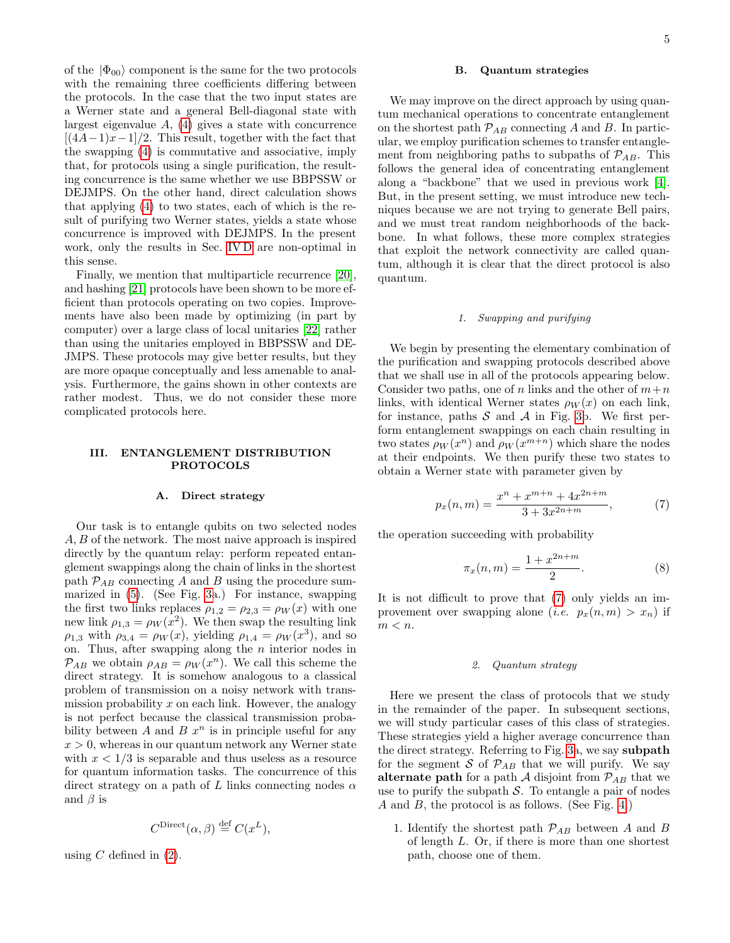of the  $|\Phi_{00}\rangle$  component is the same for the two protocols with the remaining three coefficients differing between the protocols. In the case that the two input states are a Werner state and a general Bell-diagonal state with largest eigenvalue  $A$ ,  $(4)$  gives a state with concurrence  $[(4A-1)x-1]/2$ . This result, together with the fact that the swapping [\(4\)](#page-3-0) is commutative and associative, imply that, for protocols using a single purification, the resulting concurrence is the same whether we use BBPSSW or DEJMPS. On the other hand, direct calculation shows that applying [\(4\)](#page-3-0) to two states, each of which is the result of purifying two Werner states, yields a state whose concurrence is improved with DEJMPS. In the present work, only the results in Sec. [IV D](#page-8-0) are non-optimal in this sense.

Finally, we mention that multiparticle recurrence [\[20\]](#page-16-18), and hashing [\[21\]](#page-16-19) protocols have been shown to be more efficient than protocols operating on two copies. Improvements have also been made by optimizing (in part by computer) over a large class of local unitaries [\[22\]](#page-16-20) rather than using the unitaries employed in BBPSSW and DE-JMPS. These protocols may give better results, but they are more opaque conceptually and less amenable to analysis. Furthermore, the gains shown in other contexts are rather modest. Thus, we do not consider these more complicated protocols here.

## <span id="page-4-0"></span>III. ENTANGLEMENT DISTRIBUTION PROTOCOLS

## A. Direct strategy

Our task is to entangle qubits on two selected nodes A, B of the network. The most naive approach is inspired directly by the quantum relay: perform repeated entanglement swappings along the chain of links in the shortest path  $P_{AB}$  connecting A and B using the procedure summarized in [\(5\)](#page-3-3). (See Fig. [3a](#page-1-2).) For instance, swapping the first two links replaces  $\rho_{1,2} = \rho_{2,3} = \rho_W(x)$  with one new link  $\rho_{1,3} = \rho_W(x^2)$ . We then swap the resulting link  $\rho_{1,3}$  with  $\rho_{3,4} = \rho_W(x)$ , yielding  $\rho_{1,4} = \rho_W(x^3)$ , and so on. Thus, after swapping along the  $n$  interior nodes in  $P_{AB}$  we obtain  $\rho_{AB} = \rho_W(x^n)$ . We call this scheme the direct strategy. It is somehow analogous to a classical problem of transmission on a noisy network with transmission probability x on each link. However, the analogy is not perfect because the classical transmission probability between A and B  $x^n$  is in principle useful for any  $x > 0$ , whereas in our quantum network any Werner state with  $x < 1/3$  is separable and thus useless as a resource for quantum information tasks. The concurrence of this direct strategy on a path of L links connecting nodes  $\alpha$ and  $\beta$  is

$$
C^{\text{Direct}}(\alpha, \beta) \stackrel{\text{def}}{=} C(x^L),
$$

using  $C$  defined in  $(2)$ .

## B. Quantum strategies

We may improve on the direct approach by using quantum mechanical operations to concentrate entanglement on the shortest path  $\mathcal{P}_{AB}$  connecting A and B. In particular, we employ purification schemes to transfer entanglement from neighboring paths to subpaths of  $\mathcal{P}_{AB}$ . This follows the general idea of concentrating entanglement along a "backbone" that we used in previous work [\[4\]](#page-16-21). But, in the present setting, we must introduce new techniques because we are not trying to generate Bell pairs, and we must treat random neighborhoods of the backbone. In what follows, these more complex strategies that exploit the network connectivity are called quantum, although it is clear that the direct protocol is also quantum.

## 1. Swapping and purifying

We begin by presenting the elementary combination of the purification and swapping protocols described above that we shall use in all of the protocols appearing below. Consider two paths, one of n links and the other of  $m+n$ links, with identical Werner states  $\rho_W(x)$  on each link, for instance, paths  $S$  and  $A$  in Fig. [3b](#page-1-2). We first perform entanglement swappings on each chain resulting in two states  $\rho_W(x^n)$  and  $\rho_W(x^{m+n})$  which share the nodes at their endpoints. We then purify these two states to obtain a Werner state with parameter given by

<span id="page-4-1"></span>
$$
p_x(n,m) = \frac{x^n + x^{m+n} + 4x^{2n+m}}{3 + 3x^{2n+m}},
$$
 (7)

the operation succeeding with probability

<span id="page-4-2"></span>
$$
\pi_x(n,m) = \frac{1 + x^{2n+m}}{2}.
$$
 (8)

It is not difficult to prove that [\(7\)](#page-4-1) only yields an improvement over swapping alone (*i.e.*  $p_x(n,m) > x_n$ ) if  $m < n.$ 

#### 2. Quantum strategy

Here we present the class of protocols that we study in the remainder of the paper. In subsequent sections, we will study particular cases of this class of strategies. These strategies yield a higher average concurrence than the direct strategy. Referring to Fig. [3a](#page-1-2), we say subpath for the segment S of  $\mathcal{P}_{AB}$  that we will purify. We say alternate path for a path  $\mathcal A$  disjoint from  $\mathcal P_{AB}$  that we use to purify the subpath  $S$ . To entangle a pair of nodes A and B, the protocol is as follows. (See Fig. [4.](#page-2-3))

1. Identify the shortest path  $\mathcal{P}_{AB}$  between A and B of length L. Or, if there is more than one shortest path, choose one of them.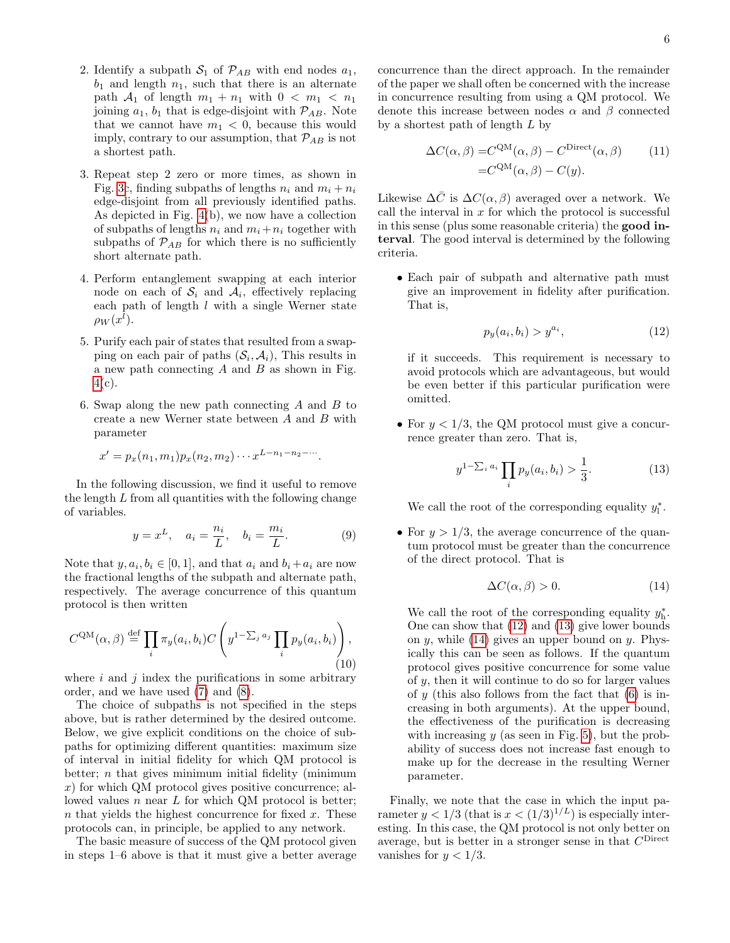- 2. Identify a subpath  $S_1$  of  $\mathcal{P}_{AB}$  with end nodes  $a_1$ ,  $b_1$  and length  $n_1$ , such that there is an alternate path  $A_1$  of length  $m_1 + n_1$  with  $0 < m_1 < n_1$ joining  $a_1$ ,  $b_1$  that is edge-disjoint with  $\mathcal{P}_{AB}$ . Note that we cannot have  $m_1 < 0$ , because this would imply, contrary to our assumption, that  $\mathcal{P}_{AB}$  is not a shortest path.
- 3. Repeat step 2 zero or more times, as shown in Fig. [3c](#page-1-2), finding subpaths of lengths  $n_i$  and  $m_i + n_i$ edge-disjoint from all previously identified paths. As depicted in Fig. [4\(](#page-2-3)b), we now have a collection of subpaths of lengths  $n_i$  and  $m_i + n_i$  together with subpaths of  $\mathcal{P}_{AB}$  for which there is no sufficiently short alternate path.
- 4. Perform entanglement swapping at each interior node on each of  $S_i$  and  $A_i$ , effectively replacing each path of length  $l$  with a single Werner state  $\rho_W(x^l)$ .
- 5. Purify each pair of states that resulted from a swapping on each pair of paths  $(\mathcal{S}_i, \mathcal{A}_i)$ , This results in a new path connecting  $A$  and  $B$  as shown in Fig.  $4(c)$  $4(c)$ .
- 6. Swap along the new path connecting  $A$  and  $B$  to create a new Werner state between A and B with parameter

$$
x' = p_x(n_1, m_1)p_x(n_2, m_2) \cdots x^{L-n_1-n_2-\cdots}.
$$

In the following discussion, we find it useful to remove the length L from all quantities with the following change of variables.

<span id="page-5-3"></span>
$$
y = x^{L}, \quad a_{i} = \frac{n_{i}}{L}, \quad b_{i} = \frac{m_{i}}{L}.
$$
 (9)

Note that  $y, a_i, b_i \in [0, 1]$ , and that  $a_i$  and  $b_i + a_i$  are now the fractional lengths of the subpath and alternate path, respectively. The average concurrence of this quantum protocol is then written

<span id="page-5-5"></span>
$$
C^{QM}(\alpha, \beta) \stackrel{\text{def}}{=} \prod_i \pi_y(a_i, b_i) C\left(y^{1 - \sum_j a_j} \prod_i p_y(a_i, b_i)\right),\tag{10}
$$

where  $i$  and  $j$  index the purifications in some arbitrary order, and we have used [\(7\)](#page-4-1) and [\(8\)](#page-4-2).

The choice of subpaths is not specified in the steps above, but is rather determined by the desired outcome. Below, we give explicit conditions on the choice of subpaths for optimizing different quantities: maximum size of interval in initial fidelity for which QM protocol is better;  $n$  that gives minimum initial fidelity (minimum x) for which QM protocol gives positive concurrence; allowed values n near  $L$  for which QM protocol is better; n that yields the highest concurrence for fixed  $x$ . These protocols can, in principle, be applied to any network.

The basic measure of success of the QM protocol given in steps 1–6 above is that it must give a better average concurrence than the direct approach. In the remainder of the paper we shall often be concerned with the increase in concurrence resulting from using a QM protocol. We denote this increase between nodes  $\alpha$  and  $\beta$  connected by a shortest path of length  $L$  by

<span id="page-5-4"></span>
$$
\Delta C(\alpha, \beta) = C^{\text{QM}}(\alpha, \beta) - C^{\text{Direct}}(\alpha, \beta)
$$
 (11)  
=
$$
C^{\text{QM}}(\alpha, \beta) - C(y).
$$

Likewise  $\Delta \bar{C}$  is  $\Delta C(\alpha, \beta)$  averaged over a network. We call the interval in  $x$  for which the protocol is successful in this sense (plus some reasonable criteria) the good interval. The good interval is determined by the following criteria.

• Each pair of subpath and alternative path must give an improvement in fidelity after purification. That is,

<span id="page-5-0"></span>
$$
p_y(a_i, b_i) > y^{a_i},\tag{12}
$$

if it succeeds. This requirement is necessary to avoid protocols which are advantageous, but would be even better if this particular purification were omitted.

• For  $y < 1/3$ , the QM protocol must give a concurrence greater than zero. That is,

<span id="page-5-1"></span>
$$
y^{1-\sum_{i} a_i} \prod_{i} p_y(a_i, b_i) > \frac{1}{3}.
$$
 (13)

We call the root of the corresponding equality  $y_1^*$ .

• For  $y > 1/3$ , the average concurrence of the quantum protocol must be greater than the concurrence of the direct protocol. That is

<span id="page-5-2"></span>
$$
\Delta C(\alpha, \beta) > 0. \tag{14}
$$

We call the root of the corresponding equality  $y_h^*$ . One can show that [\(12\)](#page-5-0) and [\(13\)](#page-5-1) give lower bounds on  $y$ , while [\(14\)](#page-5-2) gives an upper bound on  $y$ . Physically this can be seen as follows. If the quantum protocol gives positive concurrence for some value of y, then it will continue to do so for larger values of y (this also follows from the fact that  $(6)$  is increasing in both arguments). At the upper bound, the effectiveness of the purification is decreasing with increasing  $y$  (as seen in Fig. [5\)](#page-3-2), but the probability of success does not increase fast enough to make up for the decrease in the resulting Werner parameter.

Finally, we note that the case in which the input parameter  $y < 1/3$  (that is  $x < (1/3)^{1/L}$ ) is especially interesting. In this case, the QM protocol is not only better on average, but is better in a stronger sense in that  $C^{\text{Direct}}$ vanishes for  $y < 1/3$ .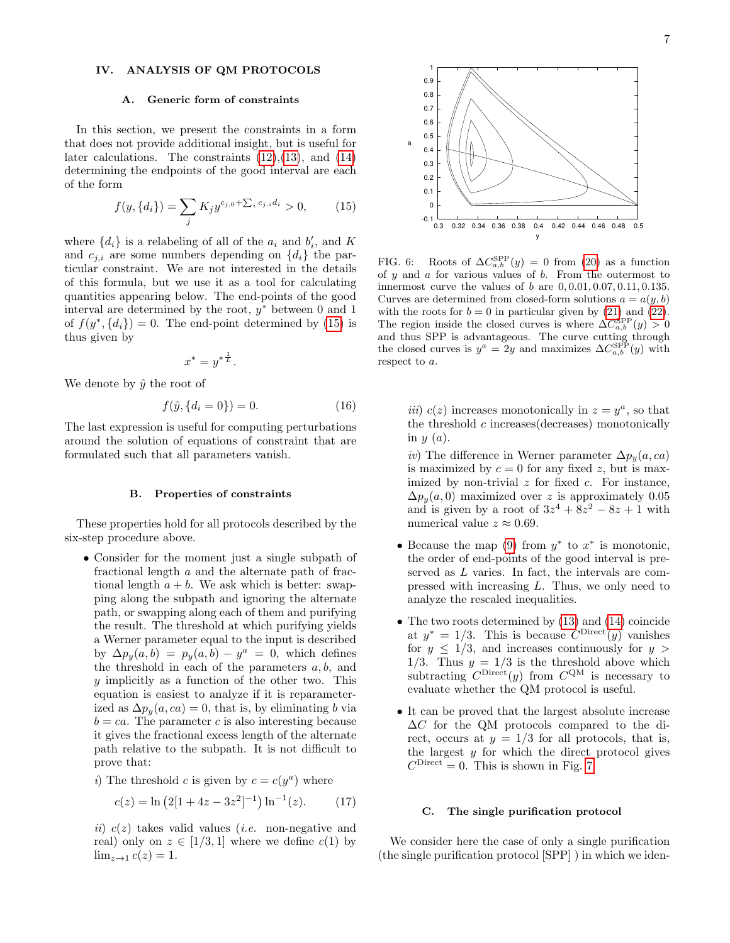# <span id="page-6-0"></span>IV. ANALYSIS OF QM PROTOCOLS

#### A. Generic form of constraints

In this section, we present the constraints in a form that does not provide additional insight, but is useful for later calculations. The constraints  $(12),(13)$  $(12),(13)$  $(12),(13)$ , and  $(14)$ determining the endpoints of the good interval are each of the form

<span id="page-6-2"></span>
$$
f(y,\lbrace d_i \rbrace) = \sum_{j} K_j y^{c_{j,0} + \sum_{i} c_{j,i} d_i} > 0, \qquad (15)
$$

where  $\{d_i\}$  is a relabeling of all of the  $a_i$  and  $b'_i$ , and K and  $c_{j,i}$  are some numbers depending on  $\{d_i\}$  the particular constraint. We are not interested in the details of this formula, but we use it as a tool for calculating quantities appearing below. The end-points of the good interval are determined by the root,  $y^*$  between 0 and 1 of  $f(y^*, \{d_i\}) = 0$ . The end-point determined by [\(15\)](#page-6-2) is thus given by

$$
x^* = y^{*\frac{1}{L}}.
$$

We denote by  $\hat{y}$  the root of

<span id="page-6-4"></span>
$$
f(\hat{y}, \{d_i = 0\}) = 0. \tag{16}
$$

The last expression is useful for computing perturbations around the solution of equations of constraint that are formulated such that all parameters vanish.

#### B. Properties of constraints

These properties hold for all protocols described by the six-step procedure above.

- Consider for the moment just a single subpath of fractional length a and the alternate path of fractional length  $a + b$ . We ask which is better: swapping along the subpath and ignoring the alternate path, or swapping along each of them and purifying the result. The threshold at which purifying yields a Werner parameter equal to the input is described by  $\Delta p_y(a, b) = p_y(a, b) - y^a = 0$ , which defines the threshold in each of the parameters  $a, b$ , and y implicitly as a function of the other two. This equation is easiest to analyze if it is reparameterized as  $\Delta p_y(a, ca) = 0$ , that is, by eliminating b via  $b = ca$ . The parameter c is also interesting because it gives the fractional excess length of the alternate path relative to the subpath. It is not difficult to prove that:
	- i) The threshold c is given by  $c = c(y^a)$  where

$$
c(z) = \ln (2[1 + 4z - 3z^2]^{-1}) \ln^{-1}(z). \tag{17}
$$

ii)  $c(z)$  takes valid values (*i.e.* non-negative and real) only on  $z \in [1/3, 1]$  where we define  $c(1)$  by  $\lim_{z\to 1} c(z) = 1.$ 



 0.6 0.7 0.8 0.9 1

a

<span id="page-6-3"></span>FIG. 6: Roots of  $\Delta C_{a,b}^{\text{SPP}}(y) = 0$  from [\(20\)](#page-7-0) as a function of  $y$  and  $a$  for various values of  $b$ . From the outermost to innermost curve the values of  $b$  are  $0, 0.01, 0.07, 0.11, 0.135$ . Curves are determined from closed-form solutions  $a = a(y, b)$ with the roots for  $b = 0$  in particular given by [\(21\)](#page-7-1) and [\(22\)](#page-7-2). The region inside the closed curves is where  $\Delta C_{a,b}^{\text{SPP}}(y) > 0$ and thus SPP is advantageous. The curve cutting through the closed curves is  $y^a = 2y$  and maximizes  $\Delta C_{a,b}^{\text{SPP}}(y)$  with respect to a.

*iii*)  $c(z)$  increases monotonically in  $z = y^a$ , so that the threshold c increases(decreases) monotonically in  $y(a)$ .

iv) The difference in Werner parameter  $\Delta p_y(a, ca)$ is maximized by  $c = 0$  for any fixed z, but is maximized by non-trivial  $z$  for fixed  $c$ . For instance,  $\Delta p_y(a, 0)$  maximized over z is approximately 0.05 and is given by a root of  $3z^4 + 8z^2 - 8z + 1$  with numerical value  $z \approx 0.69$ .

- Because the map  $(9)$  from  $y^*$  to  $x^*$  is monotonic, the order of end-points of the good interval is preserved as L varies. In fact, the intervals are compressed with increasing L. Thus, we only need to analyze the rescaled inequalities.
- The two roots determined by [\(13\)](#page-5-1) and [\(14\)](#page-5-2) coincide at  $y^* = 1/3$ . This is because  $C^{\text{Direct}}(y)$  vanishes for  $y \leq 1/3$ , and increases continuously for  $y >$  $1/3$ . Thus  $y = 1/3$  is the threshold above which subtracting  $C^{\text{Direct}}(y)$  from  $C^{\text{QM}}$  is necessary to evaluate whether the QM protocol is useful.
- It can be proved that the largest absolute increase ∆C for the QM protocols compared to the direct, occurs at  $y = 1/3$  for all protocols, that is, the largest  $y$  for which the direct protocol gives  $C^{\text{Direct}} = 0$ . This is shown in Fig. [7.](#page-7-3)

## <span id="page-6-1"></span>C. The single purification protocol

We consider here the case of only a single purification (the single purification protocol [SPP] ) in which we iden-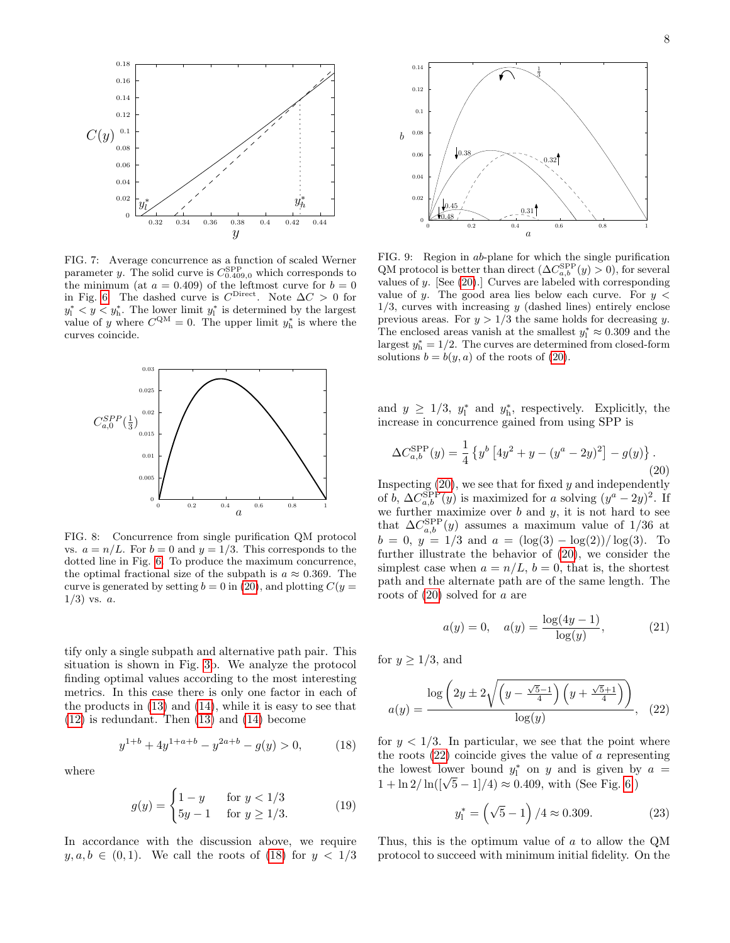

<span id="page-7-3"></span>FIG. 7: Average concurrence as a function of scaled Werner parameter y. The solid curve is  $C_{0.409,0}^{\text{SPP}}$  which corresponds to the minimum (at  $a = 0.409$ ) of the leftmost curve for  $b = 0$ in Fig. [6.](#page-6-3) The dashed curve is  $C^{\text{Direct}}$ . Note  $\Delta C > 0$  for  $y_1^* < y < y_h^*$ . The lower limit  $y_1^*$  is determined by the largest value of y where  $C^{QM} = 0$ . The upper limit  $y_h^*$  is where the curves coincide.



<span id="page-7-5"></span>FIG. 8: Concurrence from single purification QM protocol vs.  $a = n/L$ . For  $b = 0$  and  $y = 1/3$ . This corresponds to the dotted line in Fig. [6.](#page-6-3) To produce the maximum concurrence, the optimal fractional size of the subpath is  $a \approx 0.369$ . The curve is generated by setting  $b = 0$  in [\(20\)](#page-7-0), and plotting  $C(y =$  $1/3$ ) vs.  $a$ .

tify only a single subpath and alternative path pair. This situation is shown in Fig. [3b](#page-1-2). We analyze the protocol finding optimal values according to the most interesting metrics. In this case there is only one factor in each of the products in [\(13\)](#page-5-1) and [\(14\)](#page-5-2), while it is easy to see that [\(12\)](#page-5-0) is redundant. Then [\(13\)](#page-5-1) and [\(14\)](#page-5-2) become

<span id="page-7-4"></span>
$$
y^{1+b} + 4y^{1+a+b} - y^{2a+b} - g(y) > 0,\tag{18}
$$

where

$$
g(y) = \begin{cases} 1 - y & \text{for } y < 1/3 \\ 5y - 1 & \text{for } y \ge 1/3. \end{cases}
$$
 (19)

In accordance with the discussion above, we require  $y, a, b \in (0, 1)$ . We call the roots of [\(18\)](#page-7-4) for  $y < 1/3$ 



<span id="page-7-6"></span>FIG. 9: Region in ab-plane for which the single purification QM protocol is better than direct  $(\Delta C_{a,b}^{\text{SPP}}(y) > 0)$ , for several values of y. [See [\(20\)](#page-7-0).] Curves are labeled with corresponding value of y. The good area lies below each curve. For  $y <$  $1/3$ , curves with increasing y (dashed lines) entirely enclose previous areas. For  $y > 1/3$  the same holds for decreasing y. The enclosed areas vanish at the smallest  $y_1^* \approx 0.309$  and the largest  $y_h^* = 1/2$ . The curves are determined from closed-form solutions  $b = b(y, a)$  of the roots of [\(20\)](#page-7-0).

and  $y \geq 1/3$ ,  $y_1^*$  and  $y_1^*$ , respectively. Explicitly, the increase in concurrence gained from using SPP is

<span id="page-7-0"></span>
$$
\Delta C_{a,b}^{\rm SPP}(y) = \frac{1}{4} \left\{ y^b \left[ 4y^2 + y - (y^a - 2y)^2 \right] - g(y) \right\}.
$$
\n(20)

Inspecting  $(20)$ , we see that for fixed y and independently of b,  $\Delta C_{a,b}^{\text{SPP}}(y)$  is maximized for a solving  $(y^a - 2y)^2$ . If we further maximize over  $b$  and  $y$ , it is not hard to see that  $\Delta C_{a,b}^{\rm SPP}(y)$  assumes a maximum value of 1/36 at  $b = 0, y = 1/3$  and  $a = (\log(3) - \log(2))/\log(3)$ . To further illustrate the behavior of [\(20\)](#page-7-0), we consider the simplest case when  $a = n/L$ ,  $b = 0$ , that is, the shortest path and the alternate path are of the same length. The roots of  $(20)$  solved for a are

<span id="page-7-1"></span>
$$
a(y) = 0, \quad a(y) = \frac{\log(4y - 1)}{\log(y)}, \tag{21}
$$

for  $y \geq 1/3$ , and

<span id="page-7-2"></span>
$$
a(y) = \frac{\log\left(2y \pm 2\sqrt{\left(y - \frac{\sqrt{5}-1}{4}\right)\left(y + \frac{\sqrt{5}+1}{4}\right)}\right)}{\log(y)}, \quad (22)
$$

for  $y < 1/3$ . In particular, we see that the point where the roots  $(22)$  coincide gives the value of a representing the lowest lower bound  $y_1^*$  on y and is given by  $a =$  $1 + \ln 2 / \ln((\sqrt{5} - 1)/4) \approx 0.409$ , with (See Fig. [6.](#page-6-3))

<span id="page-7-7"></span>
$$
y_1^* = (\sqrt{5} - 1) / 4 \approx 0.309. \tag{23}
$$

Thus, this is the optimum value of a to allow the QM protocol to succeed with minimum initial fidelity. On the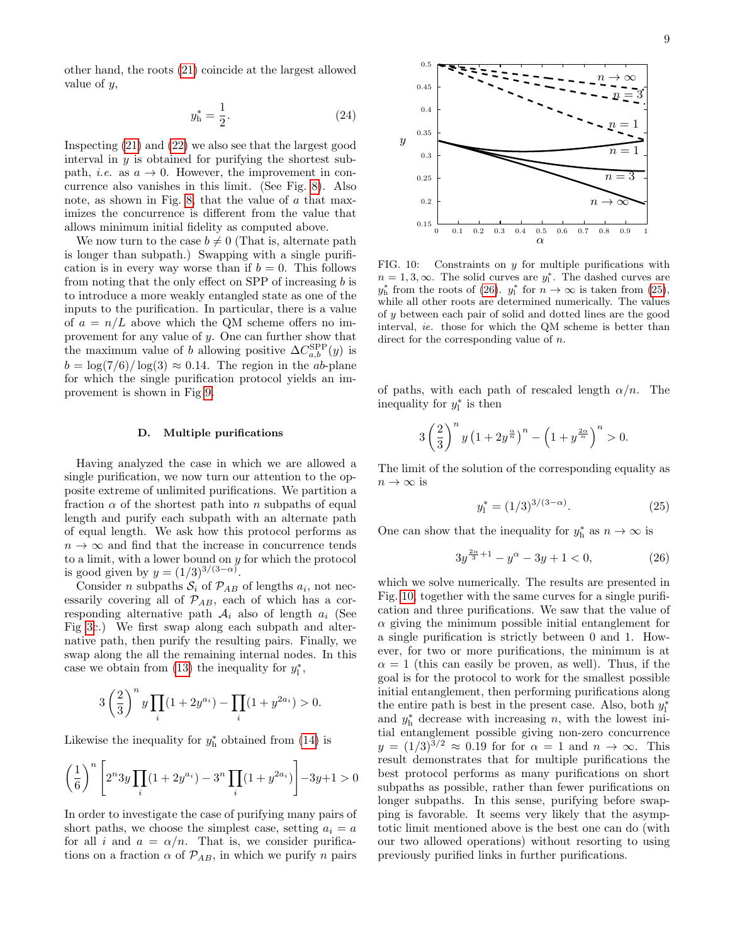other hand, the roots [\(21\)](#page-7-1) coincide at the largest allowed value of y,

<span id="page-8-4"></span>
$$
y_h^* = \frac{1}{2}.\tag{24}
$$

Inspecting [\(21\)](#page-7-1) and [\(22\)](#page-7-2) we also see that the largest good interval in  $y$  is obtained for purifying the shortest subpath, *i.e.* as  $a \rightarrow 0$ . However, the improvement in concurrence also vanishes in this limit. (See Fig. [8\)](#page-7-5). Also note, as shown in Fig. [8,](#page-7-5) that the value of a that maximizes the concurrence is different from the value that allows minimum initial fidelity as computed above.

We now turn to the case  $b \neq 0$  (That is, alternate path is longer than subpath.) Swapping with a single purification is in every way worse than if  $b = 0$ . This follows from noting that the only effect on SPP of increasing  $b$  is to introduce a more weakly entangled state as one of the inputs to the purification. In particular, there is a value of  $a = n/L$  above which the QM scheme offers no improvement for any value of y. One can further show that the maximum value of b allowing positive  $\Delta C_{a,b}^{\rm SPP}(y)$  is  $b = \log(7/6)/\log(3) \approx 0.14$ . The region in the *ab*-plane for which the single purification protocol yields an improvement is shown in Fig [9.](#page-7-6)

## <span id="page-8-0"></span>D. Multiple purifications

Having analyzed the case in which we are allowed a single purification, we now turn our attention to the opposite extreme of unlimited purifications. We partition a fraction  $\alpha$  of the shortest path into n subpaths of equal length and purify each subpath with an alternate path of equal length. We ask how this protocol performs as  $n \to \infty$  and find that the increase in concurrence tends to a limit, with a lower bound on y for which the protocol is good given by  $y = (1/3)^{3/(3-\alpha)}$ .

Consider *n* subpaths  $S_i$  of  $\mathcal{P}_{AB}$  of lengths  $a_i$ , not necessarily covering all of  $\mathcal{P}_{AB}$ , each of which has a corresponding alternative path  $A_i$  also of length  $a_i$  (See Fig [3c](#page-1-2).) We first swap along each subpath and alternative path, then purify the resulting pairs. Finally, we swap along the all the remaining internal nodes. In this case we obtain from [\(13\)](#page-5-1) the inequality for  $y_i^*$ ,

$$
3\left(\frac{2}{3}\right)^n y \prod_i (1+2y^{a_i}) - \prod_i (1+y^{2a_i}) > 0.
$$

Likewise the inequality for  $y_h^*$  obtained from [\(14\)](#page-5-2) is

$$
\left(\frac{1}{6}\right)^n \left[2^n 3y \prod_i (1+2y^{a_i})-3^n \prod_i (1+y^{2a_i})\right] - 3y + 1 > 0
$$

In order to investigate the case of purifying many pairs of short paths, we choose the simplest case, setting  $a_i = a$ for all i and  $a = \alpha/n$ . That is, we consider purifications on a fraction  $\alpha$  of  $\mathcal{P}_{AB}$ , in which we purify n pairs



<span id="page-8-3"></span>FIG. 10: Constraints on  $y$  for multiple purifications with  $n = 1, 3, \infty$ . The solid curves are  $y_1^*$ . The dashed curves are  $y_h^*$  from the roots of [\(26\)](#page-8-1).  $y_l^*$  for  $n \to \infty$  is taken from [\(25\)](#page-8-2), while all other roots are determined numerically. The values of y between each pair of solid and dotted lines are the good interval, ie. those for which the QM scheme is better than direct for the corresponding value of n.

of paths, with each path of rescaled length  $\alpha/n$ . The inequality for  $y_1^*$  is then

$$
3\left(\frac{2}{3}\right)^n y \left(1+2y^{\frac{\alpha}{n}}\right)^n - \left(1+y^{\frac{2\alpha}{n}}\right)^n > 0.
$$

The limit of the solution of the corresponding equality as  $n \to \infty$  is

<span id="page-8-2"></span>
$$
y_1^* = (1/3)^{3/(3-\alpha)}.\t(25)
$$

One can show that the inequality for  $y_h^*$  as  $n \to \infty$  is

<span id="page-8-1"></span>
$$
3y^{\frac{2\alpha}{3}+1} - y^{\alpha} - 3y + 1 < 0,\tag{26}
$$

which we solve numerically. The results are presented in Fig. [10,](#page-8-3) together with the same curves for a single purification and three purifications. We saw that the value of  $\alpha$  giving the minimum possible initial entanglement for a single purification is strictly between 0 and 1. However, for two or more purifications, the minimum is at  $\alpha = 1$  (this can easily be proven, as well). Thus, if the goal is for the protocol to work for the smallest possible initial entanglement, then performing purifications along the entire path is best in the present case. Also, both  $y_1^*$ and  $y_h^*$  decrease with increasing n, with the lowest initial entanglement possible giving non-zero concurrence  $y = (1/3)^{3/2} \approx 0.19$  for for  $\alpha = 1$  and  $n \to \infty$ . This result demonstrates that for multiple purifications the best protocol performs as many purifications on short subpaths as possible, rather than fewer purifications on longer subpaths. In this sense, purifying before swapping is favorable. It seems very likely that the asymptotic limit mentioned above is the best one can do (with our two allowed operations) without resorting to using previously purified links in further purifications.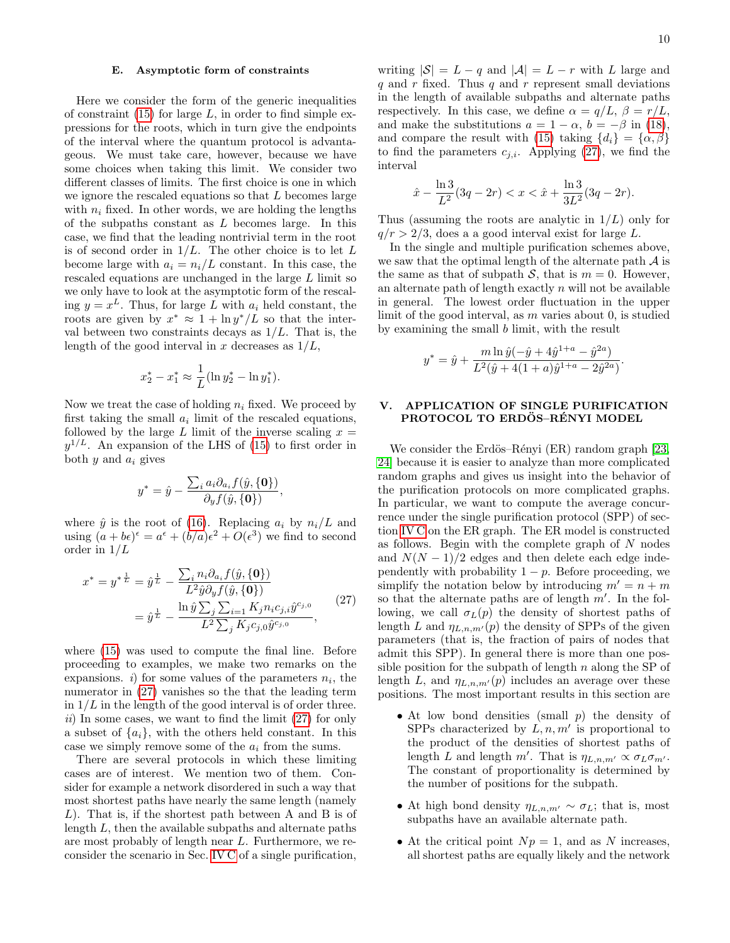# E. Asymptotic form of constraints

Here we consider the form of the generic inequalities of constraint  $(15)$  for large L, in order to find simple expressions for the roots, which in turn give the endpoints of the interval where the quantum protocol is advantageous. We must take care, however, because we have some choices when taking this limit. We consider two different classes of limits. The first choice is one in which we ignore the rescaled equations so that L becomes large with  $n_i$  fixed. In other words, we are holding the lengths of the subpaths constant as  $L$  becomes large. In this case, we find that the leading nontrivial term in the root is of second order in  $1/L$ . The other choice is to let L become large with  $a_i = n_i/L$  constant. In this case, the rescaled equations are unchanged in the large L limit so we only have to look at the asymptotic form of the rescaling  $y = x^L$ . Thus, for large L with  $a_i$  held constant, the roots are given by  $x^* \approx 1 + \ln y^* / L$  so that the interval between two constraints decays as  $1/L$ . That is, the length of the good interval in x decreases as  $1/L$ ,

$$
x_2^* - x_1^* \approx \frac{1}{L} (\ln y_2^* - \ln y_1^*).
$$

Now we treat the case of holding  $n_i$  fixed. We proceed by first taking the small  $a_i$  limit of the rescaled equations, followed by the large L limit of the inverse scaling  $x =$  $y^{1/L}$ . An expansion of the LHS of [\(15\)](#page-6-2) to first order in both  $y$  and  $a_i$  gives

$$
y^* = \hat{y} - \frac{\sum_i a_i \partial_{a_i} f(\hat{y}, \{\mathbf{0}\})}{\partial_y f(\hat{y}, \{\mathbf{0}\})},
$$

where  $\hat{y}$  is the root of [\(16\)](#page-6-4). Replacing  $a_i$  by  $n_i/L$  and using  $(a + b\epsilon)^{\epsilon} = a^{\epsilon} + (b/a)\epsilon^2 + O(\epsilon^3)$  we find to second order in 1/L

<span id="page-9-1"></span>
$$
x^* = y^{*\frac{1}{L}} = \hat{y}^{\frac{1}{L}} - \frac{\sum_{i} n_i \partial_{a_i} f(\hat{y}, \{\mathbf{0}\})}{L^2 \hat{y} \partial_y f(\hat{y}, \{\mathbf{0}\})}
$$
  
= 
$$
\hat{y}^{\frac{1}{L}} - \frac{\ln \hat{y} \sum_{j} \sum_{i=1} K_j n_i c_{j,i} \hat{y}^{c_{j,0}}}{L^2 \sum_{j} K_j c_{j,0} \hat{y}^{c_{j,0}}},
$$
(27)

where [\(15\)](#page-6-2) was used to compute the final line. Before proceeding to examples, we make two remarks on the expansions. *i*) for some values of the parameters  $n_i$ , the numerator in [\(27\)](#page-9-1) vanishes so the that the leading term in  $1/L$  in the length of the good interval is of order three.  $ii)$  In some cases, we want to find the limit  $(27)$  for only a subset of  $\{a_i\}$ , with the others held constant. In this case we simply remove some of the  $a_i$  from the sums.

There are several protocols in which these limiting cases are of interest. We mention two of them. Consider for example a network disordered in such a way that most shortest paths have nearly the same length (namely L). That is, if the shortest path between A and B is of length L, then the available subpaths and alternate paths are most probably of length near L. Furthermore, we reconsider the scenario in Sec. [IV C](#page-6-1) of a single purification,

writing  $|\mathcal{S}| = L - q$  and  $|\mathcal{A}| = L - r$  with L large and q and r fixed. Thus q and r represent small deviations in the length of available subpaths and alternate paths respectively. In this case, we define  $\alpha = q/L$ ,  $\beta = r/L$ , and make the substitutions  $a = 1 - \alpha$ ,  $b = -\beta$  in [\(18\)](#page-7-4), and compare the result with [\(15\)](#page-6-2) taking  $\{d_i\} = \{\alpha, \beta\}$ to find the parameters  $c_{i,i}$ . Applying [\(27\)](#page-9-1), we find the interval

$$
\hat{x} - \frac{\ln 3}{L^2} (3q - 2r) < x < \hat{x} + \frac{\ln 3}{3L^2} (3q - 2r).
$$

Thus (assuming the roots are analytic in  $1/L$ ) only for  $q/r > 2/3$ , does a a good interval exist for large L.

In the single and multiple purification schemes above, we saw that the optimal length of the alternate path  $A$  is the same as that of subpath  $S$ , that is  $m = 0$ . However, an alternate path of length exactly  $n$  will not be available in general. The lowest order fluctuation in the upper limit of the good interval, as m varies about 0, is studied by examining the small b limit, with the result

$$
y^* = \hat{y} + \frac{m \ln \hat{y}(-\hat{y} + 4\hat{y}^{1+a} - \hat{y}^{2a})}{L^2(\hat{y} + 4(1+a)\hat{y}^{1+a} - 2\hat{y}^{2a})}
$$

.

## <span id="page-9-0"></span>V. APPLICATION OF SINGLE PURIFICATION PROTOCOL TO ERDÖS–RÉNYI MODEL

We consider the Erdös–Rényi (ER) random graph  $[23,$ [24\]](#page-16-23) because it is easier to analyze than more complicated random graphs and gives us insight into the behavior of the purification protocols on more complicated graphs. In particular, we want to compute the average concurrence under the single purification protocol (SPP) of section [IV C](#page-6-1) on the ER graph. The ER model is constructed as follows. Begin with the complete graph of  $N$  nodes and  $N(N-1)/2$  edges and then delete each edge independently with probability  $1 - p$ . Before proceeding, we simplify the notation below by introducing  $m' = n + m$ so that the alternate paths are of length  $m'$ . In the following, we call  $\sigma_L(p)$  the density of shortest paths of length L and  $\eta_{L,n,m'}(p)$  the density of SPPs of the given parameters (that is, the fraction of pairs of nodes that admit this SPP). In general there is more than one possible position for the subpath of length  $n$  along the SP of length L, and  $\eta_{L,n,m'}(p)$  includes an average over these positions. The most important results in this section are

- At low bond densities (small  $p$ ) the density of SPPs characterized by  $L, n, m'$  is proportional to the product of the densities of shortest paths of length L and length m'. That is  $\eta_{L,n,m'} \propto \sigma_L \sigma_{m'}$ . The constant of proportionality is determined by the number of positions for the subpath.
- At high bond density  $\eta_{L,n,m'} \sim \sigma_L$ ; that is, most subpaths have an available alternate path.
- At the critical point  $Np = 1$ , and as N increases, all shortest paths are equally likely and the network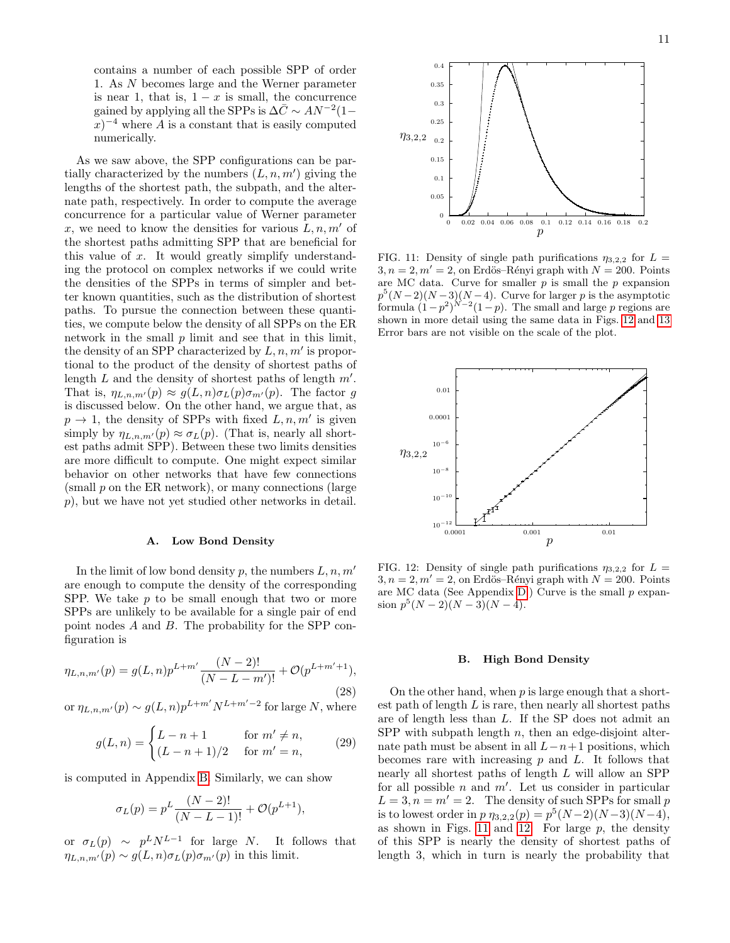contains a number of each possible SPP of order 1. As N becomes large and the Werner parameter is near 1, that is,  $1 - x$  is small, the concurrence gained by applying all the SPPs is  $\Delta \bar{C} \sim A N^{-2} (1 (x)^{-4}$  where A is a constant that is easily computed numerically.

As we saw above, the SPP configurations can be partially characterized by the numbers  $(L, n, m')$  giving the lengths of the shortest path, the subpath, and the alternate path, respectively. In order to compute the average concurrence for a particular value of Werner parameter x, we need to know the densities for various  $L, n, m'$  of the shortest paths admitting SPP that are beneficial for this value of x. It would greatly simplify understanding the protocol on complex networks if we could write the densities of the SPPs in terms of simpler and better known quantities, such as the distribution of shortest paths. To pursue the connection between these quantities, we compute below the density of all SPPs on the ER network in the small  $p$  limit and see that in this limit, the density of an SPP characterized by  $L, n, m'$  is proportional to the product of the density of shortest paths of length  $L$  and the density of shortest paths of length  $m'$ . That is,  $\eta_{L,n,m'}(p) \approx g(L,n) \sigma_L(p) \sigma_{m'}(p)$ . The factor g is discussed below. On the other hand, we argue that, as  $p \rightarrow 1$ , the density of SPPs with fixed  $L, n, m'$  is given simply by  $\eta_{L,n,m'}(p) \approx \sigma_L(p)$ . (That is, nearly all shortest paths admit SPP). Between these two limits densities are more difficult to compute. One might expect similar behavior on other networks that have few connections (small  $p$  on the ER network), or many connections (large p), but we have not yet studied other networks in detail.

#### A. Low Bond Density

In the limit of low bond density p, the numbers  $L, n, m'$ are enough to compute the density of the corresponding SPP. We take  $p$  to be small enough that two or more SPPs are unlikely to be available for a single pair of end point nodes A and B. The probability for the SPP configuration is

<span id="page-10-2"></span>
$$
\eta_{L,n,m'}(p) = g(L,n)p^{L+m'} \frac{(N-2)!}{(N-L-m')!} + \mathcal{O}(p^{L+m'+1}),
$$
\n(28)

or  $\eta_{L,n,m'}(p) \sim g(L,n)p^{L+m'}N^{L+m'-2}$  for large N, where

<span id="page-10-3"></span>
$$
g(L,n) = \begin{cases} L-n+1 & \text{for } m' \neq n, \\ (L-n+1)/2 & \text{for } m'=n, \end{cases}
$$
 (29)

is computed in Appendix [B.](#page-14-1) Similarly, we can show

$$
\sigma_L(p) = p^L \frac{(N-2)!}{(N-L-1)!} + \mathcal{O}(p^{L+1}),
$$

or  $\sigma_L(p) \sim p^L N^{L-1}$  for large N. It follows that  $\eta_{L,n,m'}(p) \sim g(L,n) \sigma_L(p) \sigma_{m'}(p)$  in this limit.

11



0.4

<span id="page-10-1"></span>FIG. 11: Density of single path purifications  $\eta_{3,2,2}$  for  $L =$  $3, n = 2, m' = 2$ , on Erdös–Rényi graph with  $N = 200$ . Points are MC data. Curve for smaller  $p$  is small the  $p$  expansion  $p^{5}(N-2)(N-3)(N-4)$ . Curve for larger p is the asymptotic formula  $(1-p^2)^{N-2}(1-p)$ . The small and large p regions are shown in more detail using the same data in Figs. [12](#page-10-0) and [13](#page-11-0) Error bars are not visible on the scale of the plot.



<span id="page-10-0"></span>FIG. 12: Density of single path purifications  $\eta_{3,2,2}$  for  $L =$  $3, n = 2, m' = 2$ , on Erdös–Rényi graph with  $N = 200$ . Points are MC data (See Appendix [D.](#page-15-0)) Curve is the small  $p$  expansion  $p^5(N-2)(N-3)(N-4)$ .

## B. High Bond Density

On the other hand, when  $p$  is large enough that a shortest path of length  $L$  is rare, then nearly all shortest paths are of length less than L. If the SP does not admit an SPP with subpath length  $n$ , then an edge-disjoint alternate path must be absent in all  $L-n+1$  positions, which becomes rare with increasing  $p$  and  $L$ . It follows that nearly all shortest paths of length L will allow an SPP for all possible  $n$  and  $m'$ . Let us consider in particular  $L = 3, n = m' = 2.$  The density of such SPPs for small p is to lowest order in  $p \eta_{3,2,2}(p) = p^5(N-2)(N-3)(N-4),$ as shown in Figs. [11](#page-10-1) and [12.](#page-10-0) For large  $p$ , the density of this SPP is nearly the density of shortest paths of length 3, which in turn is nearly the probability that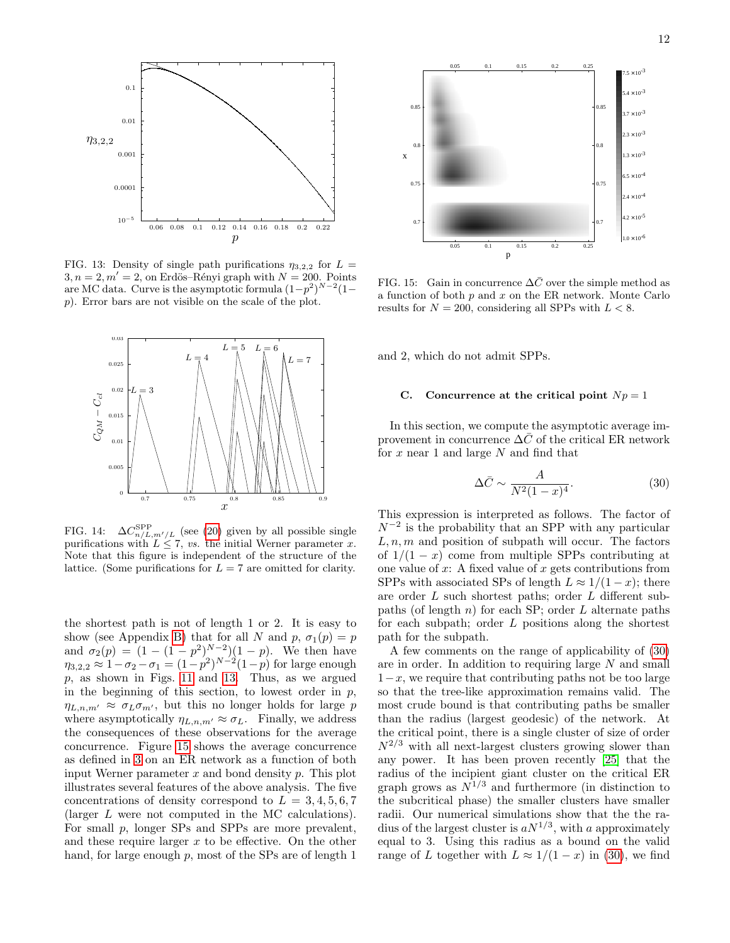

<span id="page-11-0"></span>FIG. 13: Density of single path purifications  $\eta_{3,2,2}$  for  $L =$  $3, n = 2, m' = 2$ , on Erdös–Rényi graph with  $N = 200$ . Points are MC data. Curve is the asymptotic formula  $(1-p^2)^{N-2}(1-p^2)$ p). Error bars are not visible on the scale of the plot.



<span id="page-11-3"></span>FIG. 14:  $\Delta C_{n/L,m'/L}^{\rm SPP}$  (see [\(20\)](#page-7-0) given by all possible single purifications with  $L \leq 7$ , vs. the initial Werner parameter x. Note that this figure is independent of the structure of the lattice. (Some purifications for  $L = 7$  are omitted for clarity.

the shortest path is not of length 1 or 2. It is easy to show (see Appendix [B\)](#page-14-1) that for all N and  $p, \sigma_1(p) = p$ and  $\sigma_2(p) = (1 - (1 - p^2)^{N-2})(1 - p)$ . We then have  $\eta_{3,2,2} \approx 1 - \sigma_2 - \sigma_1 = (1 - p^2)^{N-2} (1-p)$  for large enough  $p$ , as shown in Figs. [11](#page-10-1) and [13.](#page-11-0) Thus, as we argued in the beginning of this section, to lowest order in  $p$ ,  $\eta_{L,n,m'} \approx \sigma_L \sigma_{m'}$ , but this no longer holds for large p where asymptotically  $\eta_{L,n,m'} \approx \sigma_L$ . Finally, we address the consequences of these observations for the average concurrence. Figure [15](#page-11-1) shows the average concurrence as defined in [3](#page-2-4) on an ER network as a function of both input Werner parameter  $x$  and bond density  $p$ . This plot illustrates several features of the above analysis. The five concentrations of density correspond to  $L = 3, 4, 5, 6, 7$ (larger L were not computed in the MC calculations). For small p, longer SPs and SPPs are more prevalent, and these require larger  $x$  to be effective. On the other hand, for large enough p, most of the SPs are of length 1



<span id="page-11-1"></span>FIG. 15: Gain in concurrence  $\Delta\bar{C}$  over the simple method as a function of both  $p$  and  $x$  on the ER network. Monte Carlo results for  $N = 200$ , considering all SPPs with  $L < 8$ .

and 2, which do not admit SPPs.

## C. Concurrence at the critical point  $Np = 1$

In this section, we compute the asymptotic average improvement in concurrence  $\Delta\bar{C}$  of the critical ER network for  $x$  near 1 and large  $N$  and find that

<span id="page-11-2"></span>
$$
\Delta \bar{C} \sim \frac{A}{N^2 (1-x)^4}.\tag{30}
$$

This expression is interpreted as follows. The factor of  $N^{-2}$  is the probability that an SPP with any particular  $L, n, m$  and position of subpath will occur. The factors of  $1/(1-x)$  come from multiple SPPs contributing at one value of  $x$ : A fixed value of  $x$  gets contributions from SPPs with associated SPs of length  $L \approx 1/(1-x)$ ; there are order L such shortest paths; order L different subpaths (of length  $n$ ) for each SP; order  $L$  alternate paths for each subpath; order  $L$  positions along the shortest path for the subpath.

A few comments on the range of applicability of [\(30\)](#page-11-2) are in order. In addition to requiring large N and small  $1-x$ , we require that contributing paths not be too large so that the tree-like approximation remains valid. The most crude bound is that contributing paths be smaller than the radius (largest geodesic) of the network. At the critical point, there is a single cluster of size of order  $N^{2/3}$  with all next-largest clusters growing slower than any power. It has been proven recently [\[25\]](#page-16-24) that the radius of the incipient giant cluster on the critical ER graph grows as  $N^{1/3}$  and furthermore (in distinction to the subcritical phase) the smaller clusters have smaller radii. Our numerical simulations show that the the radius of the largest cluster is  $aN^{1/3}$ , with a approximately equal to 3. Using this radius as a bound on the valid range of L together with  $L \approx 1/(1-x)$  in [\(30\)](#page-11-2), we find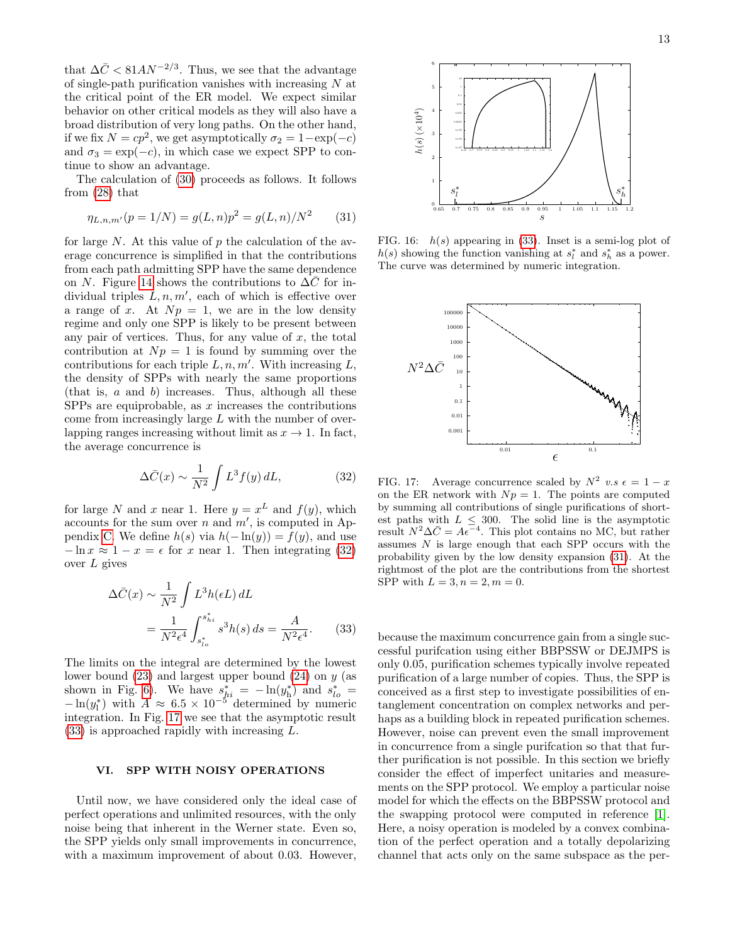that  $\Delta \bar{C} < 81 A N^{-2/3}$ . Thus, we see that the advantage of single-path purification vanishes with increasing N at the critical point of the ER model. We expect similar behavior on other critical models as they will also have a broad distribution of very long paths. On the other hand, if we fix  $N = cp^2$ , we get asymptotically  $\sigma_2 = 1 - \exp(-c)$ and  $\sigma_3 = \exp(-c)$ , in which case we expect SPP to continue to show an advantage.

The calculation of [\(30\)](#page-11-2) proceeds as follows. It follows from [\(28\)](#page-10-2) that

<span id="page-12-4"></span>
$$
\eta_{L,n,m'}(p=1/N) = g(L,n)p^2 = g(L,n)/N^2 \qquad (31)
$$

for large  $N$ . At this value of  $p$  the calculation of the average concurrence is simplified in that the contributions from each path admitting SPP have the same dependence on N. Figure [14](#page-11-3) shows the contributions to  $\Delta\overline{C}$  for individual triples  $L, n, m'$ , each of which is effective over a range of x. At  $Np = 1$ , we are in the low density regime and only one SPP is likely to be present between any pair of vertices. Thus, for any value of  $x$ , the total contribution at  $Np = 1$  is found by summing over the contributions for each triple  $L, n, m'$ . With increasing  $L$ , the density of SPPs with nearly the same proportions (that is, a and b) increases. Thus, although all these SPPs are equiprobable, as  $x$  increases the contributions come from increasingly large L with the number of overlapping ranges increasing without limit as  $x \to 1$ . In fact, the average concurrence is

<span id="page-12-1"></span>
$$
\Delta \bar{C}(x) \sim \frac{1}{N^2} \int L^3 f(y) \, dL,\tag{32}
$$

for large N and x near 1. Here  $y = x^L$  and  $f(y)$ , which accounts for the sum over n and  $m'$ , is computed in Ap-pendix [C.](#page-15-1) We define  $h(s)$  via  $h(-\ln(y)) = f(y)$ , and use  $-\ln x \approx 1 - x = \epsilon$  for x near 1. Then integrating [\(32\)](#page-12-1) over L gives

$$
\Delta \bar{C}(x) \sim \frac{1}{N^2} \int L^3 h(\epsilon L) dL
$$

$$
= \frac{1}{N^2 \epsilon^4} \int_{s_{lo}^*}^{s_{hi}^*} s^3 h(s) ds = \frac{A}{N^2 \epsilon^4}.
$$
(33)

The limits on the integral are determined by the lowest lower bound  $(23)$  and largest upper bound  $(24)$  on y (as shown in Fig. [6\)](#page-6-3). We have  $s_{hi}^* = -\ln(y_h^*)$  and  $s_{lo}^* =$  $-\ln(y_1^*)$  with  $A \approx 6.5 \times 10^{-5}$  determined by numeric integration. In Fig. [17](#page-12-2) we see that the asymptotic result [\(33\)](#page-12-3) is approached rapidly with increasing L.

# <span id="page-12-0"></span>VI. SPP WITH NOISY OPERATIONS

Until now, we have considered only the ideal case of perfect operations and unlimited resources, with the only noise being that inherent in the Werner state. Even so, the SPP yields only small improvements in concurrence, with a maximum improvement of about 0.03. However,



FIG. 16:  $h(s)$  appearing in [\(33\)](#page-12-3). Inset is a semi-log plot of  $h(s)$  showing the function vanishing at  $s_l^*$  and  $s_h^*$  as a power. The curve was determined by numeric integration.



<span id="page-12-2"></span>FIG. 17: Average concurrence scaled by  $N^2$  v.s  $\epsilon = 1 - x$ on the ER network with  $Np = 1$ . The points are computed by summing all contributions of single purifications of shortest paths with  $L \leq 300$ . The solid line is the asymptotic result  $N^2 \Delta \bar{C} = A \epsilon^{-4}$ . This plot contains no MC, but rather assumes N is large enough that each SPP occurs with the probability given by the low density expansion [\(31\)](#page-12-4). At the rightmost of the plot are the contributions from the shortest SPP with  $L = 3, n = 2, m = 0$ .

<span id="page-12-3"></span>because the maximum concurrence gain from a single successful purifcation using either BBPSSW or DEJMPS is only 0.05, purification schemes typically involve repeated purification of a large number of copies. Thus, the SPP is conceived as a first step to investigate possibilities of entanglement concentration on complex networks and perhaps as a building block in repeated purification schemes. However, noise can prevent even the small improvement in concurrence from a single purifcation so that that further purification is not possible. In this section we briefly consider the effect of imperfect unitaries and measurements on the SPP protocol. We employ a particular noise model for which the effects on the BBPSSW protocol and the swapping protocol were computed in reference [\[1\]](#page-16-0). Here, a noisy operation is modeled by a convex combination of the perfect operation and a totally depolarizing channel that acts only on the same subspace as the per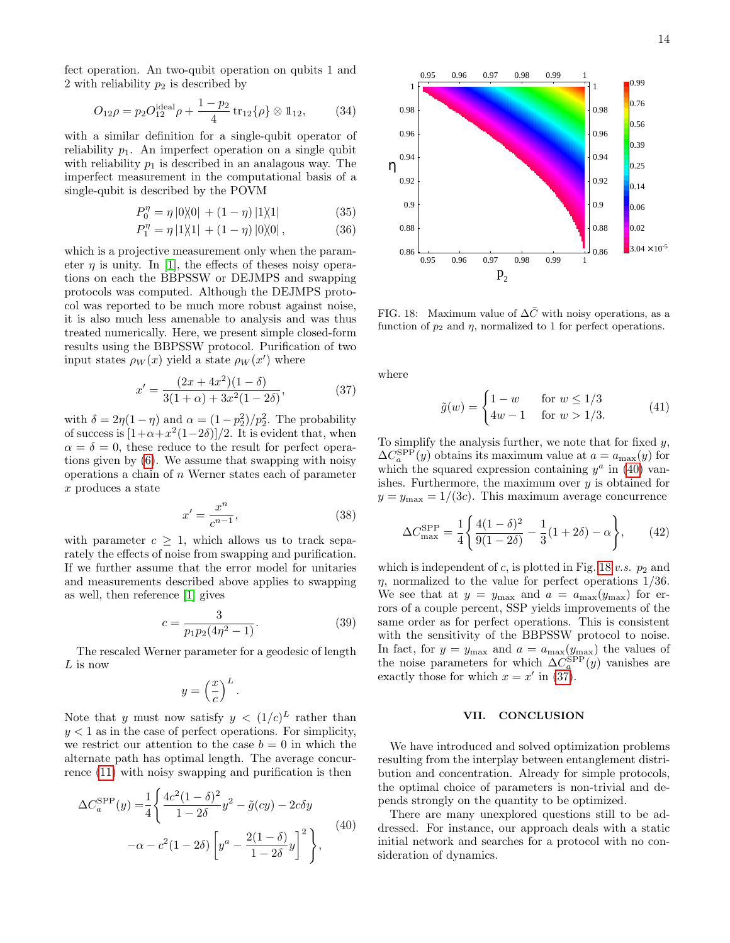fect operation. An two-qubit operation on qubits 1 and 2 with reliability  $p_2$  is described by

$$
O_{12}\rho = p_2 O_{12}^{\text{ideal}} \rho + \frac{1 - p_2}{4} \operatorname{tr}_{12} \{ \rho \} \otimes \mathbb{1}_{12}, \tag{34}
$$

with a similar definition for a single-qubit operator of reliability  $p_1$ . An imperfect operation on a single qubit with reliability  $p_1$  is described in an analagous way. The imperfect measurement in the computational basis of a single-qubit is described by the POVM

$$
P_0^{\eta} = \eta \left| 0 \rangle\!\langle 0 \right| + (1 - \eta) \left| 1 \rangle\!\langle 1 \right| \tag{35}
$$

$$
P_1^{\eta} = \eta \left| 1 \rangle\!\langle 1 \right| \, + (1 - \eta) \left| 0 \rangle\!\langle 0 \right|, \tag{36}
$$

which is a projective measurement only when the parameter  $\eta$  is unity. In [\[1\]](#page-16-0), the effects of theses noisy operations on each the BBPSSW or DEJMPS and swapping protocols was computed. Although the DEJMPS protocol was reported to be much more robust against noise, it is also much less amenable to analysis and was thus treated numerically. Here, we present simple closed-form results using the BBPSSW protocol. Purification of two input states  $\rho_W(x)$  yield a state  $\rho_W(x')$  where

<span id="page-13-2"></span>
$$
x' = \frac{(2x + 4x^2)(1 - \delta)}{3(1 + \alpha) + 3x^2(1 - 2\delta)},
$$
\n(37)

with  $\delta = 2\eta(1-\eta)$  and  $\alpha = (1-p_2^2)/p_2^2$ . The probability with  $\sigma = 2\eta(1-\eta)$  and  $\alpha = (1-p_2)/p_2$ . The probability<br>of success is  $[1+\alpha+x^2(1-2\delta)]/2$ . It is evident that, when  $\alpha = \delta = 0$ , these reduce to the result for perfect operations given by [\(6\)](#page-3-1). We assume that swapping with noisy operations a chain of n Werner states each of parameter x produces a state

$$
x' = \frac{x^n}{c^{n-1}},\tag{38}
$$

with parameter  $c \geq 1$ , which allows us to track separately the effects of noise from swapping and purification. If we further assume that the error model for unitaries and measurements described above applies to swapping as well, then reference [\[1\]](#page-16-0) gives

$$
c = \frac{3}{p_1 p_2 (4\eta^2 - 1)}.\tag{39}
$$

The rescaled Werner parameter for a geodesic of length  $L$  is now

$$
y = \left(\frac{x}{c}\right)^L.
$$

Note that y must now satisfy  $y < (1/c)^L$  rather than  $y < 1$  as in the case of perfect operations. For simplicity, we restrict our attention to the case  $b = 0$  in which the alternate path has optimal length. The average concurrence [\(11\)](#page-5-4) with noisy swapping and purification is then

<span id="page-13-0"></span>
$$
\Delta C_a^{\text{SPP}}(y) = \frac{1}{4} \left\{ \frac{4c^2(1-\delta)^2}{1-2\delta} y^2 - \tilde{g}(cy) - 2c\delta y -\alpha - c^2(1-2\delta) \left[ y^a - \frac{2(1-\delta)}{1-2\delta} y \right]^2 \right\},
$$
\n(40)



<span id="page-13-1"></span>FIG. 18: Maximum value of  $\Delta\bar{C}$  with noisy operations, as a function of  $p_2$  and  $\eta$ , normalized to 1 for perfect operations.

where

$$
\tilde{g}(w) = \begin{cases} 1 - w & \text{for } w \le 1/3 \\ 4w - 1 & \text{for } w > 1/3. \end{cases}
$$
 (41)

To simplify the analysis further, we note that for fixed  $y$ ,  $\Delta C_a^{\rm SPP}(y)$  obtains its maximum value at  $a = a_{\rm max}(y)$  for which the squared expression containing  $y^a$  in [\(40\)](#page-13-0) vanishes. Furthermore, the maximum over  $y$  is obtained for  $y = y_{\text{max}} = 1/(3c)$ . This maximum average concurrence

$$
\Delta C_{\text{max}}^{\text{SPP}} = \frac{1}{4} \left\{ \frac{4(1-\delta)^2}{9(1-2\delta)} - \frac{1}{3}(1+2\delta) - \alpha \right\},\qquad(42)
$$

which is independent of  $c$ , is plotted in Fig. [18](#page-13-1) v.s.  $p_2$  and  $\eta$ , normalized to the value for perfect operations 1/36. We see that at  $y = y_{\text{max}}$  and  $a = a_{\text{max}}(y_{\text{max}})$  for errors of a couple percent, SSP yields improvements of the same order as for perfect operations. This is consistent with the sensitivity of the BBPSSW protocol to noise. In fact, for  $y = y_{\text{max}}$  and  $a = a_{\text{max}}(y_{\text{max}})$  the values of the noise parameters for which  $\Delta C_a^{\rm SPP}(y)$  vanishes are exactly those for which  $x = x'$  in [\(37\)](#page-13-2).

### VII. CONCLUSION

We have introduced and solved optimization problems resulting from the interplay between entanglement distribution and concentration. Already for simple protocols, the optimal choice of parameters is non-trivial and depends strongly on the quantity to be optimized.

There are many unexplored questions still to be addressed. For instance, our approach deals with a static initial network and searches for a protocol with no consideration of dynamics.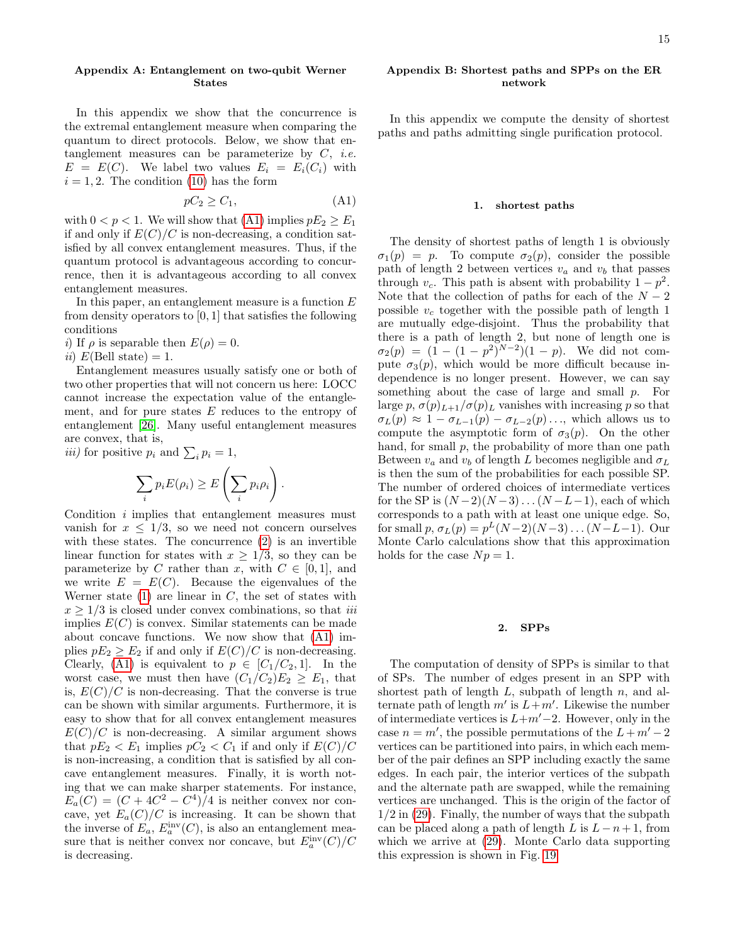## <span id="page-14-0"></span>Appendix A: Entanglement on two-qubit Werner States

In this appendix we show that the concurrence is the extremal entanglement measure when comparing the quantum to direct protocols. Below, we show that entanglement measures can be parameterize by  $C$ , *i.e.*  $E = E(C)$ . We label two values  $E_i = E_i(C_i)$  with  $i = 1, 2$ . The condition [\(10\)](#page-5-5) has the form

<span id="page-14-2"></span>
$$
pC_2 \ge C_1,\tag{A1}
$$

with  $0 < p < 1$ . We will show that [\(A1\)](#page-14-2) implies  $pE_2 \ge E_1$ if and only if  $E(C)/C$  is non-decreasing, a condition satisfied by all convex entanglement measures. Thus, if the quantum protocol is advantageous according to concurrence, then it is advantageous according to all convex entanglement measures.

In this paper, an entanglement measure is a function  $E$ from density operators to [0, 1] that satisfies the following conditions

i) If  $\rho$  is separable then  $E(\rho) = 0$ .

ii)  $E(Bell state) = 1$ .

Entanglement measures usually satisfy one or both of two other properties that will not concern us here: LOCC cannot increase the expectation value of the entanglement, and for pure states  $E$  reduces to the entropy of entanglement [\[26\]](#page-16-25). Many useful entanglement measures are convex, that is,

*iii)* for positive 
$$
p_i
$$
 and  $\sum_i p_i = 1$ ,

$$
\sum_i p_i E(\rho_i) \ge E\left(\sum_i p_i \rho_i\right).
$$

Condition i implies that entanglement measures must vanish for  $x \leq 1/3$ , so we need not concern ourselves with these states. The concurrence [\(2\)](#page-2-2) is an invertible linear function for states with  $x \geq 1/3$ , so they can be parameterize by C rather than x, with  $C \in [0, 1]$ , and we write  $E = E(C)$ . Because the eigenvalues of the Werner state  $(1)$  are linear in C, the set of states with  $x \geq 1/3$  is closed under convex combinations, so that *iii* implies  $E(C)$  is convex. Similar statements can be made about concave functions. We now show that [\(A1\)](#page-14-2) implies  $pE_2 \ge E_2$  if and only if  $E(C)/C$  is non-decreasing. Clearly, [\(A1\)](#page-14-2) is equivalent to  $p \in [C_1/C_2, 1]$ . In the worst case, we must then have  $(C_1/C_2)E_2 \geq E_1$ , that is,  $E(C)/C$  is non-decreasing. That the converse is true can be shown with similar arguments. Furthermore, it is easy to show that for all convex entanglement measures  $E(C)/C$  is non-decreasing. A similar argument shows that  $pE_2 < E_1$  implies  $pC_2 < C_1$  if and only if  $E(C)/C$ is non-increasing, a condition that is satisfied by all concave entanglement measures. Finally, it is worth noting that we can make sharper statements. For instance,  $E_a(C) = (C + 4C^2 - C^4)/4$  is neither convex nor concave, yet  $E_a(C)/C$  is increasing. It can be shown that the inverse of  $E_a$ ,  $E_a^{\text{inv}}(C)$ , is also an entanglement measure that is neither convex nor concave, but  $E_a^{\text{inv}}(C)/C$ is decreasing.

# <span id="page-14-1"></span>Appendix B: Shortest paths and SPPs on the ER network

In this appendix we compute the density of shortest paths and paths admitting single purification protocol.

#### 1. shortest paths

The density of shortest paths of length 1 is obviously  $\sigma_1(p) = p$ . To compute  $\sigma_2(p)$ , consider the possible path of length 2 between vertices  $v_a$  and  $v_b$  that passes through  $v_c$ . This path is absent with probability  $1 - p^2$ . Note that the collection of paths for each of the  $N-2$ possible  $v_c$  together with the possible path of length 1 are mutually edge-disjoint. Thus the probability that there is a path of length 2, but none of length one is  $\sigma_2(p) = (1 - (1 - p^2)^{N-2})(1 - p)$ . We did not compute  $\sigma_3(p)$ , which would be more difficult because independence is no longer present. However, we can say something about the case of large and small  $p$ . For large p,  $\sigma(p)_{L+1}/\sigma(p)_L$  vanishes with increasing p so that  $\sigma_L(p) \approx 1 - \sigma_{L-1}(p) - \sigma_{L-2}(p) \ldots$ , which allows us to compute the asymptotic form of  $\sigma_3(p)$ . On the other hand, for small  $p$ , the probability of more than one path Between  $v_a$  and  $v_b$  of length L becomes negligible and  $\sigma_L$ is then the sum of the probabilities for each possible SP. The number of ordered choices of intermediate vertices for the SP is  $(N-2)(N-3)...(N-L-1)$ , each of which corresponds to a path with at least one unique edge. So, for small  $p, \sigma_L(p) = p^L(N-2)(N-3) \dots (N-L-1)$ . Our Monte Carlo calculations show that this approximation holds for the case  $Np = 1$ .

#### 2. SPPs

The computation of density of SPPs is similar to that of SPs. The number of edges present in an SPP with shortest path of length  $L$ , subpath of length  $n$ , and alternate path of length  $m'$  is  $L+m'$ . Likewise the number of intermediate vertices is  $L+m'-2$ . However, only in the case  $n = m'$ , the possible permutations of the  $L + m' - 2$ vertices can be partitioned into pairs, in which each member of the pair defines an SPP including exactly the same edges. In each pair, the interior vertices of the subpath and the alternate path are swapped, while the remaining vertices are unchanged. This is the origin of the factor of  $1/2$  in  $(29)$ . Finally, the number of ways that the subpath can be placed along a path of length L is  $L - n + 1$ , from which we arrive at [\(29\)](#page-10-3). Monte Carlo data supporting this expression is shown in Fig. [19.](#page-15-2)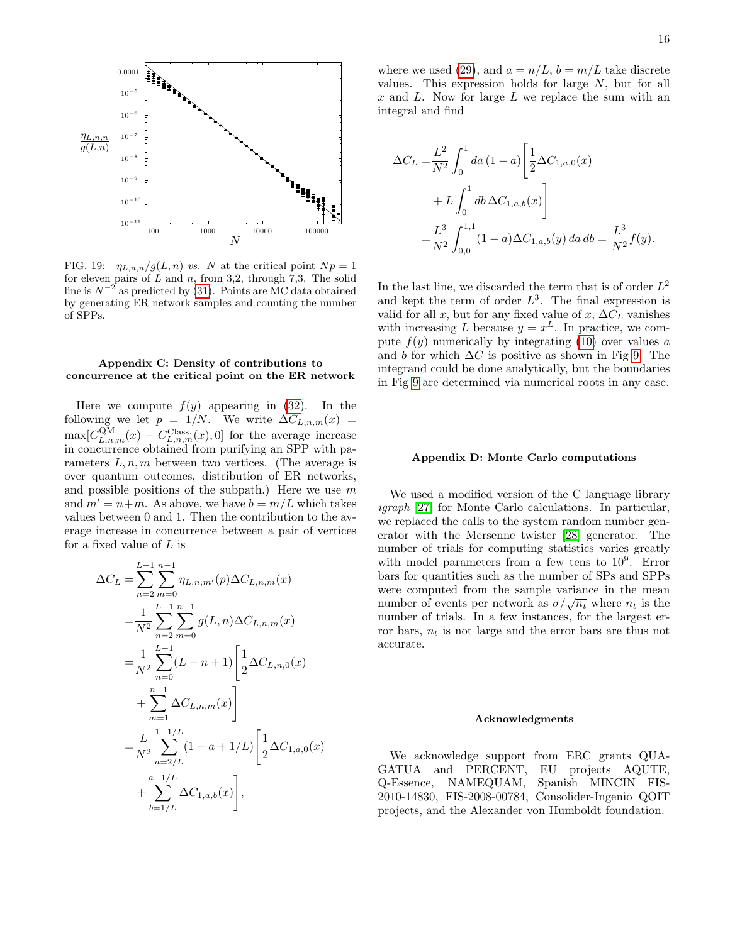

<span id="page-15-2"></span>FIG. 19:  $\eta_{L,n,n}/g(L,n)$  *vs.* N at the critical point  $Np = 1$ for eleven pairs of  $L$  and  $n$ , from 3,2, through 7,3. The solid line is  $N^{-2}$  as predicted by [\(31\)](#page-12-4). Points are MC data obtained by generating ER network samples and counting the number of SPPs.

## <span id="page-15-1"></span>Appendix C: Density of contributions to concurrence at the critical point on the ER network

Here we compute  $f(y)$  appearing in [\(32\)](#page-12-1). In the following we let  $p = 1/N$ . We write  $\Delta C_{L,n,m}(x)$  $\max[C_{L,n,m}^{\text{QM}}(x) - C_{L,n,m}^{\text{Class.}}(x), 0]$  for the average increase in concurrence obtained from purifying an SPP with parameters  $L, n, m$  between two vertices. (The average is over quantum outcomes, distribution of ER networks, and possible positions of the subpath.) Here we use  $m$ and  $m' = n+m$ . As above, we have  $b = m/L$  which takes values between 0 and 1. Then the contribution to the average increase in concurrence between a pair of vertices for a fixed value of  $L$  is

$$
\Delta C_L = \sum_{n=2}^{L-1} \sum_{m=0}^{n-1} \eta_{L,n,m'}(p) \Delta C_{L,n,m}(x)
$$
  
\n
$$
= \frac{1}{N^2} \sum_{n=2}^{L-1} \sum_{m=0}^{n-1} g(L,n) \Delta C_{L,n,m}(x)
$$
  
\n
$$
= \frac{1}{N^2} \sum_{n=0}^{L-1} (L-n+1) \left[ \frac{1}{2} \Delta C_{L,n,0}(x) + \sum_{m=1}^{n-1} \Delta C_{L,n,m}(x) \right]
$$
  
\n
$$
= \frac{L}{N^2} \sum_{a=2/L}^{1-1/L} (1-a+1/L) \left[ \frac{1}{2} \Delta C_{1,a,0}(x) + \sum_{b=1/L}^{a-1/L} \Delta C_{1,a,b}(x) \right],
$$

where we used [\(29\)](#page-10-3), and  $a = n/L$ ,  $b = m/L$  take discrete values. This expression holds for large  $N$ , but for all  $x$  and  $L$ . Now for large  $L$  we replace the sum with an integral and find

$$
\Delta C_L = \frac{L^2}{N^2} \int_0^1 da (1 - a) \left[ \frac{1}{2} \Delta C_{1, a, 0}(x) + L \int_0^1 db \Delta C_{1, a, b}(x) \right]
$$
  
= 
$$
\frac{L^3}{N^2} \int_{0, 0}^{1, 1} (1 - a) \Delta C_{1, a, b}(y) da db = \frac{L^3}{N^2} f(y).
$$

In the last line, we discarded the term that is of order  $L^2$ and kept the term of order  $L^3$ . The final expression is valid for all x, but for any fixed value of x,  $\Delta C_L$  vanishes with increasing L because  $y = x^L$ . In practice, we compute  $f(y)$  numerically by integrating [\(10\)](#page-5-5) over values a and b for which  $\Delta C$  is positive as shown in Fig [9.](#page-7-6) The integrand could be done analytically, but the boundaries in Fig [9](#page-7-6) are determined via numerical roots in any case.

## <span id="page-15-0"></span>Appendix D: Monte Carlo computations

We used a modified version of the C language library igraph [\[27\]](#page-16-26) for Monte Carlo calculations. In particular, we replaced the calls to the system random number generator with the Mersenne twister [\[28\]](#page-16-27) generator. The number of trials for computing statistics varies greatly with model parameters from a few tens to  $10^9$ . Error bars for quantities such as the number of SPs and SPPs were computed from the sample variance in the mean number of events per network as  $\sigma/\sqrt{n_t}$  where  $n_t$  is the number of trials. In a few instances, for the largest error bars,  $n_t$  is not large and the error bars are thus not accurate.

#### Acknowledgments

We acknowledge support from ERC grants QUA-GATUA and PERCENT, EU projects AQUTE, Q-Essence, NAMEQUAM, Spanish MINCIN FIS-2010-14830, FIS-2008-00784, Consolider-Ingenio QOIT projects, and the Alexander von Humboldt foundation.